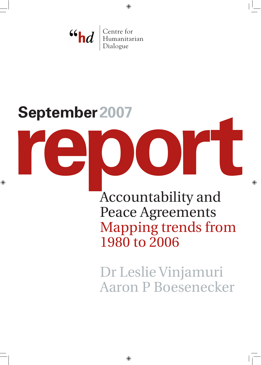

# **represented**

Accountability and Peace Agreements Mapping trends from 1980 to 2006

Dr Leslie Vinjamuri Aaron P Boesenecker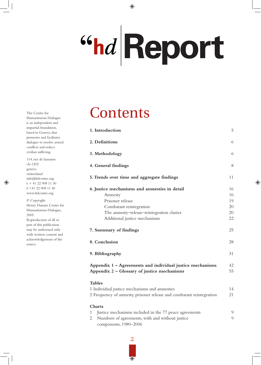# **Report**

The Centre for Humanitarian Dialogue is an independent and impartial foundation, based in Geneva, that promotes and facilitates dialogue to resolve armed conflicts and reduce civilian suffering.

114, rue de lausanne ch-1202 geneva switzerland info@hdcentre.org t: + 41 22 908 11 30 f: +41 22 908 11 40 www.hdcentre.org

© Copyright Henry Dunant Centre for Humanitarian Dialogue, 2005

Reproduction of all or part of this publication may be authorised only with written consent and acknowledgement of the source.

## **Contents**

| 1. Introduction                                                      | 5  |
|----------------------------------------------------------------------|----|
| 2. Definitions                                                       | 6  |
| 3. Methodology                                                       | 6  |
| 4. General findings                                                  | 8  |
| 5. Trends over time and aggregate findings                           | 11 |
| 6. Justice mechanisms and amnesties in detail                        | 16 |
| Amnesty                                                              | 16 |
| Prisoner release                                                     | 19 |
| Combatant reintegration                                              | 20 |
| The amnesty-release-reintegration cluster                            | 20 |
| Additional justice mechanisms                                        | 22 |
| 7. Summary of findings                                               | 25 |
| 8. Conclusion                                                        | 28 |
| 9. Bibliography                                                      | 31 |
| Appendix 1 - Agreements and individual justice mechanisms            | 42 |
| Appendix 2 – Glossary of justice mechanisms                          | 55 |
| <b>Tables</b>                                                        |    |
| 1 Individual justice mechanisms and amnesties                        | 14 |
| 2 Frequency of amnesty, prisoner release and combatant reintegration | 21 |

### **Charts**

| 1 Justice mechanisms included in the 77 peace agreements |  |
|----------------------------------------------------------|--|
| 2 Numbers of agreements, with and without justice        |  |
| components, $1980 - 2006$                                |  |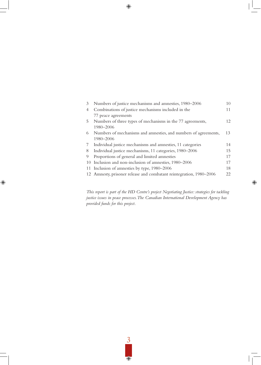| 3 | Numbers of justice mechanisms and amnesties, 1980–2006              | 10 |
|---|---------------------------------------------------------------------|----|
| 4 | Combinations of justice mechanisms included in the                  | 11 |
|   | 77 peace agreements                                                 |    |
| 5 | Numbers of three types of mechanisms in the 77 agreements,          | 12 |
|   | 1980-2006                                                           |    |
| 6 | Numbers of mechanisms and amnesties, and numbers of agreements,     | 13 |
|   | 1980-2006                                                           |    |
| 7 | Individual justice mechanisms and amnesties, 11 categories          | 14 |
| 8 | Individual justice mechanisms, 11 categories, 1980–2006             | 15 |
| 9 | Proportions of general and limited amnesties                        | 17 |
|   | 10 Inclusion and non-inclusion of amnesties, 1980–2006              | 17 |
|   | 11 Inclusion of amnesties by type, 1980–2006                        | 18 |
|   | 12 Amnesty, prisoner release and combatant reintegration, 1980–2006 | 22 |

*This report is part of the HD Centre's project Negotiating Justice: strategies for tackling justice issues in peace processes. The Canadian International Development Agency has provided funds for this project.*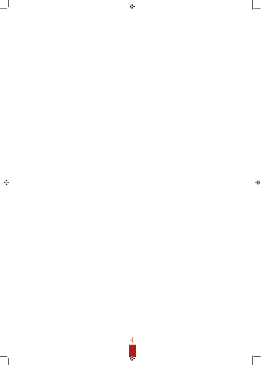$\overline{\mathbf{4}}$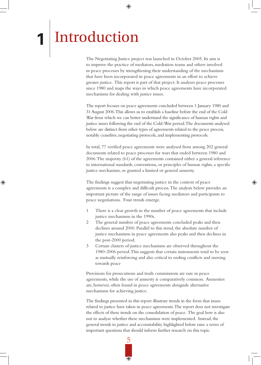The Negotiating Justice project was launched in October 2005. Its aim is to improve the practice of mediators, mediation teams and others involved in peace processes by strengthening their understanding of the mechanisms that have been incorporated in peace agreements in an effort to achieve greater justice. This report is part of that project. It analyses peace processes since 1980 and maps the ways in which peace agreements have incorporated mechanisms for dealing with justice issues.

The report focuses on peace agreements concluded between 1 January 1980 and 31 August 2006. This allows us to establish a baseline before the end of the Cold War from which we can better understand the significance of human rights and justice issues following the end of the Cold-War period. The documents analysed below are distinct from other types of agreements related to the peace process, notably ceasefires, negotiating protocols, and implementing protocols.

In total, 77 verified peace agreements were analysed from among 202 general documents related to peace processes for wars that ended between 1980 and 2006. The majority (61) of the agreements contained either a general reference to international standards, conventions, or principles of human rights, a specific justice mechanism, or granted a limited or general amnesty.

The findings suggest that negotiating justice in the context of peace agreements is a complex and difficult process. The analysis below provides an important picture of the range of issues facing mediators and participants to peace negotiations. Four trends emerge.

- 1 There is a clear growth in the number of peace agreements that include justice mechanisms in the 1990s.
- 2 The general number of peace agreements concluded peaks and then declines around 2000. Parallel to this trend, the absolute number of justice mechanisms in peace agreements also peaks and then declines in the post-2000 period.
- 3 Certain clusters of justice mechanisms are observed throughout the 1980–2006 period. This suggests that certain instruments tend to be seen as mutually reinforcing and also critical to ending conflicts and moving towards peace

Provisions for prosecutions and truth commissions are rare in peace agreements, while the use of amnesty is comparatively common. Amnesties are, however, often found in peace agreements alongside alternative mechanisms for achieving justice.

The findings presented in this report illustrate trends in the form that issues related to justice have taken in peace agreements. The report does not investigate the effects of these trends on the consolidation of peace. The goal here is also not to analyse whether these mechanisms were implemented. Instead, the general trends in justice and accountability highlighted below raise a series of important questions that should inform further research on this topic.

5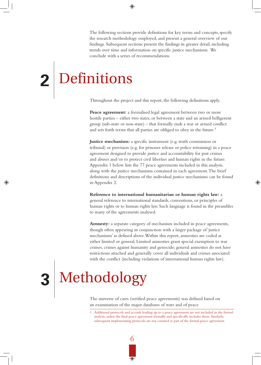The following sections provide definitions for key terms and concepts, specify the research methodology employed, and present a general overview of our findings. Subsequent sections present the findings in greater detail, including trends over time and information on specific justice mechanisms. We conclude with a series of recommendations.

# **2** Definitions

Throughout the project and this report, the following definitions apply.

**Peace agreement:** a formalised legal agreement between two or more hostile parties – either two states, or between a state and an armed belligerent group (sub-state or non-state) – that formally ends a war or armed conflict and sets forth terms that all parties are obliged to obey in the future.<sup>1</sup>

**Justice mechanism:** a specific instrument (e.g. truth commission or tribunal) or provision (e.g. for prisoner release or police retraining) in a peace agreement designed to provide justice and accountability for past crimes and abuses and/or to protect civil liberties and human rights in the future. Appendix 1 below lists the 77 peace agreements included in this analysis, along with the justice mechanisms contained in each agreement. The brief definitions and descriptions of the individual justice mechanisms can be found in Appendix 2.

**Reference to international humanitarian or human rights law:** a general reference to international standards, conventions, or principles of human rights or to human rights law. Such language is found in the preambles to many of the agreements analysed.

**Amnesty:** a separate category of mechanism included in peace agreements, though often appearing in conjunction with a larger package of 'justice mechanisms' as defined above. Within this report, amnesties are coded as either limited or general. Limited amnesties grant special exemption to war crimes, crimes against humanity and genocide; general amnesties do not have restrictions attached and generally cover all individuals and crimes associated with the conflict (including violations of international human rights law).

# **3** Methodology

The universe of cases (verified peace agreements) was defined based on an examination of the major databases of wars and of peace

<sup>1</sup> Additional protocols and accords leading up to a peace agreement are not included in the formal analysis, unless the final peace agreement formally and specifically includes them. Similarly, subsequent implementing protocols are not counted as part of the formal peace agreement.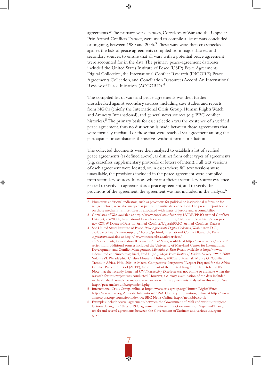agreements.2 The primary war databases, Correlates of War and the Uppsala/ Prio Armed Conflicts Dataset, were used to compile a list of wars concluded or ongoing, between 1980 and 2006.<sup>3</sup> These wars were then crosschecked against the lists of peace agreements compiled from major datasets and secondary sources, to ensure that all wars with a potential peace agreement were accounted for in the data. The primary peace-agreement databases included the United States Institute of Peace (USIP) Peace Agreements Digital Collection, the International Conflict Research (INCORE) Peace Agreements Collection, and Conciliation Resources Accord: An International Review of Peace Initiatives (ACCORD).<sup>4</sup>

The compiled list of wars and peace agreements was then further crosschecked against secondary sources, including case studies and reports from NGOs (chiefly the International Crisis Group, Human Rights Watch and Amnesty International), and general news sources (e.g. BBC conflict histories).<sup>5</sup> The primary basis for case selection was the existence of a verified peace agreement, thus no distinction is made between those agreements that were formally mediated or those that were reached via agreement among the participants or combatants themselves without formal mediation.

The collected documents were then analysed to establish a list of verified peace agreements (as defined above), as distinct from other types of agreements (e.g. ceasefires, supplementary protocols or letters of intent). Full text versions of each agreement were located, or, in cases where full text versions were unavailable, the provisions included in the peace agreement were compiled from secondary sources. In cases where insufficient secondary-source evidence existed to verify an agreement as a peace agreement, and to verify the provisions of the agreement, the agreement was not included in the analysis.<sup>6</sup>

 $\overline{7}$ 

<sup>2</sup> Numerous additional indicators, such as provisions for political or institutional reform or for refugee return, were also mapped as part of the initial data collection. The present report focuses on those mechanisms most directly associated with issues of justice and accountability.

<sup>3</sup> Correlates of War, available at http://www.coorelatesofwar.org; UCDP/PRIO Armed Conflicts Data Set, v.3-2005b, International Peace Research Institute, Oslo, available at http://new.prio. no/ CSCW-Datasets/Data-on-Armed-Conflict/UppsalaPRIO-Armed-Conflicts-Dataset

<sup>4</sup> See United States Institute of Peace, *Peace Agreements Digital Collection*, Washington D.C., available at http://www.usip.org/ library/pa.html; International Conflict Research, *Peace Agreements*, available at http:// www.incore.ulst.ac.uk/services/ cds/agreements; Conciliation Resources, *Accord Series*, available at http://www.c-r.org/ accord/ series.shtml; additional sources included the University of Maryland Center for International Development and Conflict Management, *Minorities at Risk Project*, available at http://www. cidcm.umd.edu/inscr/mar; Israel, Fred L. (ed.), *Major Peace Treaties of Modern History: 1980–2000*, Volume VI, Philadelphia: Chelsea House Publishers, 2002; and Marshall, Monty G., 'Conflict Trends in Africa, 1946–2004: A Macro-Comparative Perspective,' Report Prepared for the Africa Conflict Prevention Pool (ACPP), Government of the United Kingdom, 14 October 2005. Note that the recently launched *UN Peacemaking Databank* was not online or available when the research for this project was conducted. However, a cursory examination of the data included in the databank reveals no major discrepancies with the agreements analysed in this report. See http://peacemaker.unlb.org/index1.php

<sup>5</sup> International Crisis Group, online at http://www.crisisgroup.org; Human Rights Watch, http://www.hrw.org; Amnesty International USA, Country Information, online at http://www. amnestyusa.org/countries/index.do; BBC News Online, http://news.bbc.co.uk

<sup>6</sup> Examples include several agreements between the Government of Mali and various insurgent factions during the 1990s; a 1995 agreement between the Government of Niger and Tuareg rebels; and several agreements between the Government of Surinam and various insurgent groups.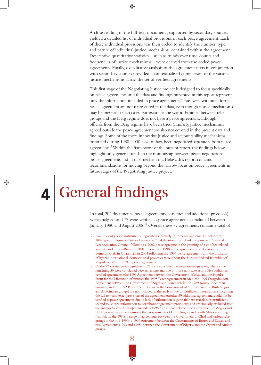A close reading of the full-text documents, supported by secondary sources, yielded a detailed list of individual provisions in each peace agreement. Each of these individual provisions was then coded to identify the number, type and nature of individual justice mechanisms contained within the agreement. Descriptive quantitative statistics – such as trends over time, counts and frequencies of justice mechanisms – were derived from the coded peace agreements. Finally, a qualitative analysis of the agreement texts in conjunction with secondary sources provided a contextualised comparison of the various justice mechanisms across the set of verified agreements.

This first stage of the Negotiating Justice project is designed to focus specifically on peace agreements, and the data and findings presented in this report represent only the information included in peace agreements. Thus, wars without a formal peace agreement are not represented in the data, even though justice mechanisms may be present in such cases. For example, the war in Ethiopia between rebel groups and the Derg regime does not have a peace agreement, although officials from the Derg regime have been tried. Similarly, justice mechanisms agreed outside the peace agreement are also not covered in the present data and findings. Some of the more innovative justice and accountability mechanisms instituted during 1980–2000 have, in fact, been negotiated separately from peace agreements.<sup>7</sup> Within the framework of the present report, the findings below highlight only general trends in the relationship between peace negotiations, peace agreements and justice mechanisms. Below, this report contains recommendations for moving beyond the narrow focus on peace agreements in future stages of the Negotiating Justice project.

# 4 General findings

In total, 202 documents (peace agreements, ceasefires and additional protocols) were analysed, and 77 were verified as peace agreements concluded between January 1980 and August 2006.<sup>8</sup> Overall, these 77 agreements contain a total of

<sup>7</sup> Examples of justice instruments negotiated separately from peace agreements include: the 2002 Special Court for Sierra Leone; the 2004 decision in Sri Lanka to pursue a National Reconciliation Council following a 2002 peace agreement; the granting of a conflict-related amnesty in Guinea-Bissau in 2004 following a 1998 peace agreement; the decision to pursue domestic trials in Guatemala in 2004 following the 1996 peace agreement; and the institution of hybrid international-domestic trial processes throughout the Former Federal Republic of Yugoslavia after the 1995 peace agreement.

<sup>8</sup> Of the 77 verified peace agreements, 27 were concluded between sovereign states, whereas the remaining 50 were concluded between a state and one or more non-state actors. Five additional verified agreements (the 1991 Agreement between the Government of Mail and the Popular Front for the Liberation of Azawad, the 1995 Peace Agreement in Mali, the 1995 Ouagadougou Agreement between the Government of Niger and Tuareg rebels, the 1989 Kourou Accord in Surinam, and the 1992 Peace Accord between the Government of Surinam and the Bush Negro and Amerindian groups) are not included in the analysis due to insufficient information concerning the full text and exact provisions of the agreement. Another 39 additional agreements could not be verified as peace agreements due to lack of information (e.g. no full text available, or insufficient secondary-source information to corroborate agreement provisions) and are similarly excluded from the analysis. Selected examples include a 1996 Agreement between the Government of Angola and FLEC, several agreements among the Governments of Cuba, Angola and South Africa regarding Namibia in the 1980s, a range of agreements between the Government of Chad and various rebel groups in the mid-1990s, a 1999 Agreement between the Governments of Eritrea and Sudan, and two Agreements (1993 and 1995) between the Government of Nigeria and the Ogoni and Andoni groups.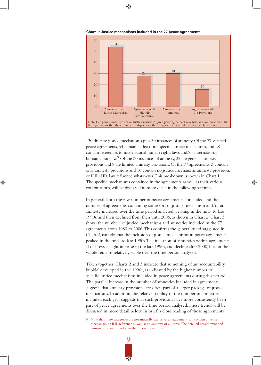**Chart 1: Justice mechanisms included in the 77 peace agreements**



130 discrete justice mechanisms plus 30 instances of amnesty. Of the 77 verified peace agreements, 54 contain at least one specific justice mechanism, and 28 contain references to international human rights laws and/or international humanitarian law.<sup>9</sup> Of the 30 instances of amnesty, 22 are general amnesty provisions and 8 are limited amnesty provisions. Of the 77 agreements, 3 contain only amnesty provisions and 16 contain no justice mechanism, amnesty provision, or IHL/HR law reference whatsoever. This breakdown is shown in Chart 1. The specific mechanisms contained in the agreements, as well as their various combinations, will be discussed in more detail in the following sections.

In general, both the raw number of peace agreements concluded and the number of agreements containing some sort of justice mechanism and/or an amnesty increased over the time period analysed, peaking in the mid- to late 1990s, and then declined from then until 2006, as shown in Chart 2. Chart 3 shows the numbers of justice mechanisms and amnesties included in the 77 agreements, from 1980 to 2006. This confirms the general trend suggested in Chart 2, namely that the inclusion of justice mechanisms in peace agreements peaked in the mid- to late 1990s. The inclusion of amnesties within agreements also shows a slight increase in the late 1990s, and decline after 2000, but on the whole remains relatively stable over the time period analysed.

Taken together, Charts 2 and 3 indicate that something of an 'accountability bubble' developed in the 1990s, as indicated by the higher number of specific justice mechanisms included in peace agreements during this period. The parallel increase in the number of amnesties included in agreements suggests that amnesty provisions are often part of a larger package of justice mechanisms. In addition, the relative stability of the number of amnesties included each year suggests that such provisions have more consistently been part of peace agreements over the time period analysed. These trends will be discussed in more detail below. In brief, a close reading of those agreements

<sup>9</sup> Note that these categories are not mutually exclusive; an agreement can contain a justice mechanism or IHL reference as well as an amnesty, or all three. The detailed breakdowns and comparisons are provided in the following sections.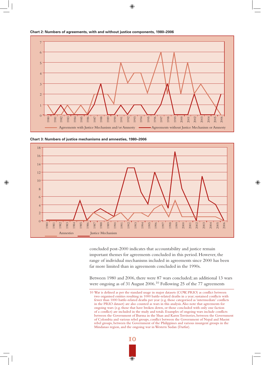



**Chart 3: Numbers of justice mechanisms and amnesties, 1980–2006**



concluded post-2000 indicates that accountability and justice remain important themes for agreements concluded in this period. However, the range of individual mechanisms included in agreements since 2000 has been far more limited than in agreements concluded in the 1990s.

Between 1980 and 2006, there were 87 wars concluded; an additional 13 wars were ongoing as of 31 August 2006.<sup>10</sup> Following 25 of the 77 agreements

 War is defined as per the standard usage in major datasets (COW, PRIO) as conflict between two organised entities resulting in 1000 battle-related deaths in a year; sustained conflicts with fewer than 1000 battle-related deaths per year (e.g. those categorised as 'intermediate' conflicts in the PRIO dataset) are also counted as wars in this analysis. Also note that agreements for ongoing wars (e.g. those that have broken down, or those concluded with only one faction of a conflict) are included in the study and totals. Examples of ongoing wars include conflicts between the Government of Burma in the Shan and Karen Territories, between the Government of Colombia and various rebel groups, conflict between the Government of Nepal and Maoist rebel groups, between the Government of the Philippines and various insurgent groups in the Mindanao region, and the ongoing war in Western Sudan (Darfur).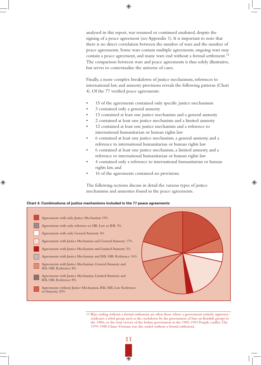analysed in this report, war resumed or continued unabated, despite the signing of a peace agreement (see Appendix 1). It is important to note that there is no direct correlation between the number of wars and the number of peace agreements. Some wars contain multiple agreements, ongoing wars may contain a peace agreement, and many wars end without a formal settlement.<sup>11</sup> The comparison between wars and peace agreements is thus solely illustrative, but serves to contextualise the universe of cases.

Finally, a more complex breakdown of justice mechanisms, references to international law, and amnesty provisions reveals the following patterns (Chart 4). Of the 77 verified peace agreements:

- 15 of the agreements contained only specific justice mechanisms
- 3 contained only a general amnesty
- 13 contained at least one justice mechanism and a general amnesty
- 2 contained at least one justice mechanism and a limited amnesty
- 12 contained at least one justice mechanism and a reference to international humanitarian or human rights law
- 6 contained at least one justice mechanism, a general amnesty, and a reference to international humanitarian or human rights law
- 6 contained at least one justice mechanism, a limited amnesty, and a reference to international humanitarian or human rights law
- 4 contained only a reference to international humanitarian or human rights law, and
- 16 of the agreements contained no provisions.

The following sections discuss in detail the various types of justice mechanisms and amnesties found in the peace agreements.

### **Chart 4: Combinations of justice mechanisms included in the 77 peace agreements**



<sup>11</sup> Wars ending without a formal settlement are often those where a government entirely oppresses/ eradicates a rebel group, such as the crackdown by the government of Iran on Kurdish groups in the 1980s, or the total victory of the Indian government in the 1982–1993 Punjab conflict. The 1979–1988 China–Vietnam war also ended without a formal settlement.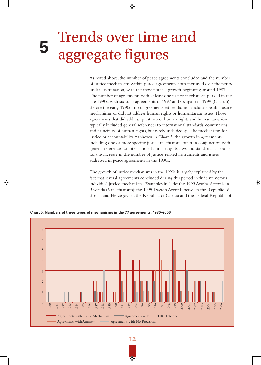# Trends over time and aggregate figures

As noted above, the number of peace agreements concluded and the number of justice mechanisms within peace agreements both increased over the period under examination, with the most notable growth beginning around 1987. The number of agreements with at least one justice mechanism peaked in the late 1990s, with six such agreements in 1997 and six again in 1999 (Chart 5). Before the early 1990s, most agreements either did not include specific justice mechanisms or did not address human rights or humanitarian issues. Those agreements that did address questions of human rights and humanitarianism typically included general references to international standards, conventions and principles of human rights, but rarely included specific mechanisms for justice or accountability. As shown in Chart 5, the growth in agreements including one or more specific justice mechanism, often in conjunction with general references to international human rights laws and standards accounts for the increase in the number of justice-related instruments and issues addressed in peace agreements in the 1990s.

The growth of justice mechanisms in the 1990s is largely explained by the fact that several agreements concluded during this period include numerous individual justice mechanisms. Examples include: the 1993 Arusha Accords in Rwanda (6 mechanisms); the 1995 Dayton Accords between the Republic of Bosnia and Herzegovina, the Republic of Croatia and the Federal Republic of



**Chart 5: Numbers of three types of mechanisms in the 77 agreements, 1980–2006**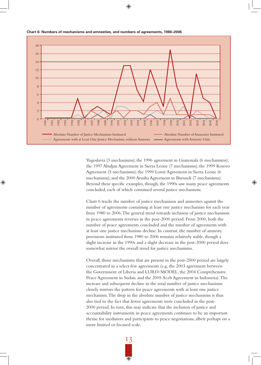

### **Chart 6: Numbers of mechanisms and amnesties, and numbers of agreements, 1980–2006**

Yugoslavia (3 mechanisms); the 1996 agreement in Guatemala (6 mechanisms); the 1997 Abidjan Agreement in Sierra Leone (7 mechanisms); the 1999 Kosovo Agreement (5 mechanisms); the 1999 Lomé Agreement in Sierra Leone (6 mechanisms); and the 2000 Arusha Agreement in Burundi (7 mechanisms). Beyond these specific examples, though, the 1990s saw many peace agreements concluded, each of which contained several justice mechanisms.

Chart 6 tracks the number of justice mechanisms and amnesties against the number of agreements containing at least one justice mechanism for each year from 1980 to 2006. The general trend towards inclusion of justice mechanisms in peace agreements reverses in the post-2000 period. From 2000, both the number of peace agreements concluded and the number of agreements with at least one justice mechanism decline. In contrast, the number of amnesty provisions instituted from 1980 to 2006 remains relatively stable, though a slight increase in the 1990s and a slight decrease in the post-2000 period does somewhat mirror the overall trend for justice mechanisms.

Overall, those mechanisms that are present in the post-2000 period are largely concentrated in a select few agreements (e.g. the 2003 agreement between the Government of Liberia and LURD/MODEL, the 2004 Comprehensive Peace Agreement in Sudan, and the 2005 Aceh Agreement in Indonesia). The increase and subsequent decline in the total number of justice mechanisms closely mirrors the pattern for peace agreements with at least one justice mechanism. The drop in the absolute number of justice mechanisms is thus also tied to the fact that fewer agreements were concluded in the post-2000 period. In turn, this may indicate that the inclusion of justice and accountability instruments in peace agreements continues to be an important theme for mediators and participants to peace negotiations, albeit perhaps on a more limited or focused scale.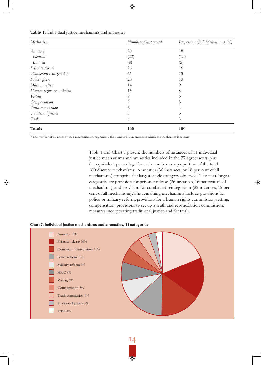| Mechanism               | Number of Instances $*$ | Proportion of all Mechanisms (%) |
|-------------------------|-------------------------|----------------------------------|
| Amnesty                 | 30                      | 18                               |
| General                 | (22)                    | (13)                             |
| Limited                 | (8)                     | (5)                              |
| Prisoner release        | 26                      | 16                               |
| Combatant reintegration | 25                      | 15                               |
| Police reform           | 20                      | 13                               |
| Military reform         | 14                      | 9                                |
| Human rights commission | 13                      | 8                                |
| Vetting                 | 9                       | 6                                |
| Compensation            | 8                       | 5                                |
| Truth commission        | 6                       | 4                                |
| Traditional justice     | 5                       | 3                                |
| <b>Trials</b>           | 4                       | 3                                |
| <b>Totals</b>           | 160                     | 100                              |

### **Table 1:** Individual justice mechanisms and amnesties

\* The number of instances of each mechanism corresponds to the number of agreements in which the mechanism is present.

Table 1 and Chart 7 present the numbers of instances of 11 individual justice mechanisms and amnesties included in the 77 agreements, plus the equivalent percentage for each number as a proportion of the total 160 discrete mechanisms. Amnesties (30 instances, or 18 per cent of all mechanisms) comprise the largest single category observed. The next-largest categories are provision for prisoner release (26 instances, 16 per cent of all mechanisms), and provision for combatant reintegration (25 instances, 15 per cent of all mechanisms). The remaining mechanisms include provisions for police or military reform, provisions for a human rights commission, vetting, compensation, provisions to set up a truth and reconciliation commission, measures incorporating traditional justice and for trials.

### **Chart 7: Individual justice mechanisms and amnesties, 11 categories**

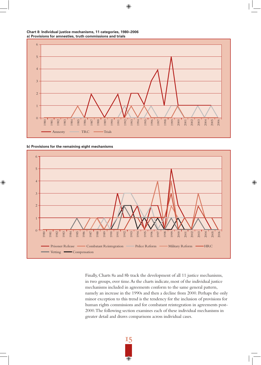



### **b) Provisions for the remaining eight mechanisms**



Finally, Charts 8a and 8b track the development of all 11 justice mechanisms, in two groups, over time. As the charts indicate, most of the individual justice mechanisms included in agreements conform to the same general pattern, namely an increase in the 1990s and then a decline from 2000. Perhaps the only minor exception to this trend is the tendency for the inclusion of provisions for human rights commissions and for combatant reintegration in agreements post-2000. The following section examines each of these individual mechanisms in greater detail and draws comparisons across individual cases.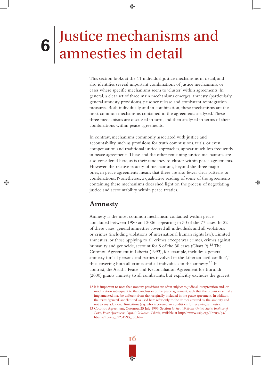# Justice mechanisms and amnesties in detail **<sup>6</sup>**

This section looks at the 11 individual justice mechanisms in detail, and also identifies several important combinations of justice mechanisms, or cases where specific mechanisms seem to 'cluster' within agreements. In general, a clear set of three main mechanisms emerges: amnesty (particularly general amnesty provisions), prisoner release and combatant reintegration measures. Both individually and in combination, these mechanisms are the most common mechanisms contained in the agreements analysed. These three mechanisms are discussed in turn, and then analysed in terms of their combinations within peace agreements.

In contrast, mechanisms commonly associated with justice and accountability, such as provisions for truth commissions, trials, or even compensation and traditional justice approaches, appear much less frequently in peace agreements. These and the other remaining justice mechanisms are also considered here, as is their tendency to cluster within peace agreements. However, the relative paucity of mechanisms, beyond the three major ones, in peace agreements means that there are also fewer clear patterns or combinations. Nonetheless, a qualitative reading of some of the agreements containing these mechanisms does shed light on the process of negotiating justice and accountability within peace treaties.

### **Amnesty**

Amnesty is the most common mechanism contained within peace concluded between 1980 and 2006, appearing in 30 of the 77 cases. In 22 of these cases, general amnesties covered all individuals and all violations or crimes (including violations of international human rights law). Limited amnesties, or those applying to all crimes except war crimes, crimes against humanity and genocide, account for 8 of the 30 cases (Chart 9).<sup>12</sup> The Cotonou Agreement in Liberia (1993), for example, includes a general amnesty for 'all persons and parties involved in the Liberian civil conflict',' thus covering both all crimes and all individuals in the amnesty.13 In contrast, the Arusha Peace and Reconciliation Agreement for Burundi (2000) grants amnesty to all combatants, but explicitly excludes the gravest

<sup>12</sup> It is important to note that amnesty provisions are often subject to judicial interpretation and/or modification subsequent to the conclusion of the peace agreement, such that the provision actually implemented may be different from that originally included in the peace agreement. In addition, the terms 'general' and 'limited' as used here refer only to the crimes covered by the amnesty, and not to any additional limitations (e.g. who is covered, or conditions for receiving amnesty).

<sup>13</sup> Cotonou Agreement, Cotonou, 25 July 1993, Section G, Art. 19, from *United States Institute of Peace, Peace Agreements Digital Collection: Liberia*, available at http://www.usip.org/library/pa/ liberia/liberia\_07251993\_toc.html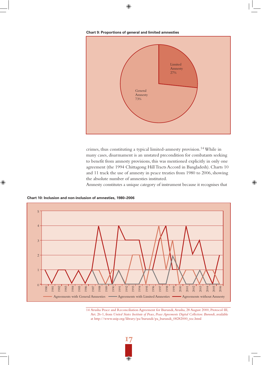### **Chart 9: Proportions of general and limited amnesties**



crimes, thus constituting a typical limited-amnesty provision.<sup>14</sup> While in many cases, disarmament is an unstated precondition for combatants seeking to benefit from amnesty provisions, this was mentioned explicitly in only one agreement (the 1994 Chittagong Hill Tracts Accord in Bangladesh). Charts 10 and 11 track the use of amnesty in peace treaties from 1980 to 2006, showing the absolute number of amnesties instituted.

Amnesty constitutes a unique category of instrument because it recognises that

**Chart 10: Inclusion and non-inclusion of amnesties, 1980–2006**



 Arusha Peace and Reconciliation Agreement for Burundi, Arusha, 28 August 2000, Protocol III, Art. 26-1, from *United States Institute of Peace, Peace Agreements Digital Collection: Burundi*, available at http://www.usip.org/library/pa/burundi/pa\_burundi\_08282000\_toc.html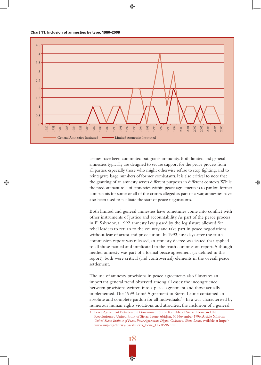



crimes have been committed but grants immunity. Both limited and general amnesties typically are designed to secure support for the peace process from all parties, especially those who might otherwise refuse to stop fighting, and to reintegrate large numbers of former combatants. It is also critical to note that the granting of an amnesty serves different purposes in different contexts. While the predominant role of amnesties within peace agreements is to pardon former combatants for some or all of the crimes alleged as part of a war, amnesties have also been used to facilitate the start of peace negotiations.

Both limited and general amnesties have sometimes come into conflict with other instruments of justice and accountability. As part of the peace process in El Salvador, a 1992 amnesty law passed by the legislature allowed for rebel leaders to return to the country and take part in peace negotiations without fear of arrest and prosecution. In 1993, just days after the truth commission report was released, an amnesty decree was issued that applied to all those named and implicated in the truth commission report. Although neither amnesty was part of a formal peace agreement (as defined in this report), both were critical (and controversial) elements in the overall peace settlement.

The use of amnesty provisions in peace agreements also illustrates an important general trend observed among all cases: the incongruence between provisions written into a peace agreement and those actually implemented. The 1999 Lomé Agreement in Sierra Leone contained an absolute and complete pardon for all individuals.15 In a war characterised by numerous human rights violations and atrocities, the inclusion of a general

<sup>15</sup> Peace Agreement Between the Government of the Republic of Sierra Leone and the Revolutionary United Front of Sierra Leone, Abidjan, 30 November 1996, Article XI, from *United States Institute of Peace, Peace Agreements Digital Collection: Sierra Leone*, available at http:// www.usip.org/library/pa/sl/sierra\_leone\_11301996.html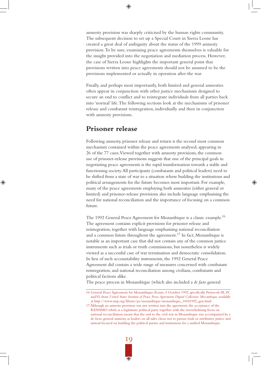amnesty provision was sharply criticised by the human rights community. The subsequent decision to set up a Special Court in Sierra Leone has created a great deal of ambiguity about the status of the 1999 amnesty provision. To be sure, examining peace agreements themselves is valuable for the insight provided into the negotiation and mediation process. However, the case of Sierra Leone highlights the important general point that provisions written into peace agreements should not be assumed to be the provisions implemented or actually in operation after the war.

Finally, and perhaps most importantly, both limited and general amnesties often appear in conjunction with other justice mechanisms designed to secure an end to conflict and to reintegrate individuals from all parties back into 'normal' life. The following sections look at the mechanisms of prisoner release and combatant reintegration, individually and then in conjunction with amnesty provisions.

### **Prisoner release**

Following amnesty, prisoner release and return is the second most common mechanism contained within the peace agreements analysed, appearing in 26 of the 77 cases. Viewed together with amnesty provisions, the common use of prisoner-release provisions suggests that one of the principal goals in negotiating peace agreements is the rapid transformation towards a stable and functioning society. All participants (combatants and political leaders) need to be shifted from a state of war to a situation where building the institutions and political arrangements for the future becomes most important. For example, many of the peace agreements employing both amnesties (either general or limited) and prisoner-release provisions also include language emphasising the need for national reconciliation and the importance of focusing on a common future.

The 1992 General Peace Agreement for Mozambique is a classic example.<sup>16</sup> The agreement contains explicit provisions for prisoner release and reintegration, together with language emphasising national reconciliation and a common future throughout the agreement.<sup>17</sup> In fact, Mozambique is notable as an important case that did not contain any of the common justice instruments such as trials or truth commissions, but nonetheless is widely viewed as a successful case of war termination and democratic consolidation. In lieu of such accountability instruments, the 1992 General Peace Agreement did contain a wide range of measures concerned with combatant reintegration, and national reconciliation among civilians, combatants and political factions alike.

The peace process in Mozambique (which also included a *de facto* general

<sup>16</sup> General Peace Agreement for Mozambique, Rome, 4 October 1992, specifically Protocols III, IV, and VI, from *United States Institute of Peace, Peace Agreements Digital Collection: Mozambique*, available at http://www.uisp.org/library/pa/mozambique/mozambique\_10041992\_gen.html

<sup>17</sup> Although an amnesty provision was not written into the agreement, the acceptance of the RENAMO rebels as a legitimate political party together with the overwhelming focus on national reconciliation meant that the end to the civil war in Mozambique was accompanied by a de facto general amnesty, as leaders on all sides chose not to pursue trials or retributive justice and instead focused on building the political parties and institutions for a unified Mozambique.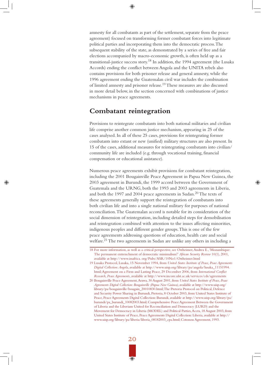amnesty for all combatants as part of the settlement, separate from the peace agreement) focused on transforming former combatant forces into legitimate political parties and incorporating them into the democratic process. The subsequent stability of the state, as demonstrated by a series of free and fair elections accompanied by macro-economic growth, is often held up as a transitional-justice success story.<sup>18</sup> In addition, the 1994 agreement (the Lusaka Accords) ending the conflict between Angola and the UNITA rebels also contains provisions for both prisoner release and general amnesty, while the 1996 agreement ending the Guatemalan civil war includes the combination of limited amnesty and prisoner release.19 These measures are also discussed in more detail below, in the section concerned with combinations of justice mechanisms in peace agreements.

### **Combatant reintegration**

Provisions to reintegrate combatants into both national militaries and civilian life comprise another common justice mechanism, appearing in 25 of the cases analysed. In all of these 25 cases, provisions for reintegrating former combatants into extant or new (unified) military structures are also present. In 15 of the cases, additional measures for reintegrating combatants into civilian/ community life are included (e.g. through vocational training, financial compensation or educational assistance).

Numerous peace agreements exhibit provisions for combatant reintegration, including the 2001 Bougainville Peace Agreement in Papua New Guinea, the 2003 agreement in Burundi, the 1999 accord between the Government of Guatemala and the URNG, both the 1993 and 2003 agreements in Liberia, and both the 1997 and 2004 peace agreements in Sudan.<sup>20</sup> The texts of these agreements generally support the reintegration of combatants into both civilian life and into a single national military for purposes of national reconciliation. The Guatemalan accord is notable for its consideration of the social dimension of reintegration, including detailed steps for demobilisation and reintegration combined with attention to the issues affecting minorities, indigenous peoples and different gender groups. This is one of the few peace agreements addressing questions of education, health care and social welfare.<sup>21</sup> The two agreements in Sudan are unlike any others in including a

<sup>18</sup> For more information, as well as a critical perspective, see Ostheimer, Andrea E., 'Mozambique: The permanent entrenchment of democratic minimalism?' *African Security Review* 10(1), 2001, available at http://www.issafrica. org/Pubs/ASR/10No1/Ostheimer.html

<sup>19</sup> Lusaka Protocol, Lusaka, 15 November 1994, from *United States Institute of Peace, Peace Agreements Digital Collection: Angola*, available at http://www.uisp.org/library/pa/angola/lusaka\_11151994. html; Agreement on a Firm and Lasting Peace, 29 December 2006, from *International Conflict Research, Peace Agreements*, available at http://www.incore.ulst.ac.uk/services/cds/agreements

<sup>20</sup> Bougainville Peace Agreement, Arawa, 30 August 2001, from *United States Institute of Peace, Peace Agreements Digital Collection: Bougainville (Papua New Guinea)*, available at http://www.uisp.org/ library/pa/bougainville/bougain\_20010830.html; The Pretoria Protocol on Political, Defence and Security Power Sharing in Burundi, Pretoria, 8 October 2003, from United States Institute of Peace, Peace Agreements Digital Collection: Burundi, available at http://www.uisp.org/library/pa/ burundi/pa\_burundi\_10082003.html; Comprehensive Peace Agreement Between the Government of Liberia and the Liberians United for Reconciliation and Democracy (LURD) and the Movement for Democracy in Liberia (MODEL) and Political Parties, Accra, 18 August 2003, from United States Institute of Peace, Peace Agreements Digital Collection: Liberia, available at http:// www.uisp.org/library/pa/liberia/liberia\_08182003\_cpa.html; Cotonou Agreement, 1993.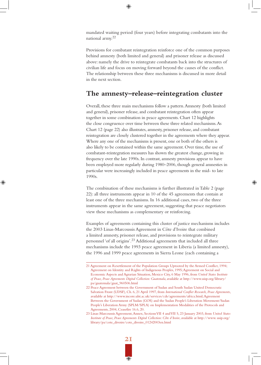mandated waiting period (four years) before integrating combatants into the national army.<sup>22</sup>

Provisions for combatant reintegration reinforce one of the common purposes behind amnesty (both limited and general) and prisoner release as discussed above: namely the drive to reintegrate combatants back into the structures of civilian life and focus on moving forward beyond the causes of the conflict. The relationship between these three mechanisms is discussed in more detail in the next section.

### **The amnesty–release–reintegration cluster**

Overall, these three main mechanisms follow a pattern. Amnesty (both limited and general), prisoner release, and combatant reintegration often appear together in some combination in peace agreements. Chart 12 highlights the close congruence over time between these three related mechanisms. As Chart 12 (page 22) also illustrates, amnesty, prisoner release, and combatant reintegration are closely clustered together in the agreements where they appear. Where any one of the mechanisms is present, one or both of the others is also likely to be contained within the same agreement. Over time, the use of combatant-reintegration measures has shown the greatest change, growing in frequency over the late 1990s. In contrast, amnesty provisions appear to have been employed more regularly during 1980–2006, though general amnesties in particular were increasingly included in peace agreements in the mid- to late 1990s.

The combination of these mechanisms is further illustrated in Table 2 (page 22): all three instruments appear in 10 of the 45 agreements that contain at least one of the three mechanisms. In 16 additional cases, two of the three instruments appear in the same agreement, suggesting that peace negotiators view these mechanisms as complementary or reinforcing.

Examples of agreements containing this cluster of justice mechanisms includes the 2003 Linas-Marcoussis Agreement in Côte d'Ivoire that combined a limited amnesty, prisoner release, and provisions to reintegrate military personnel 'of all origins'.23 Additional agreements that included all three mechanisms include the 1993 peace agreement in Liberia (a limited amnesty), the 1996 and 1999 peace agreements in Sierra Leone (each containing a

<sup>21</sup> Agreement on Resettlement of the Population Groups Uprooted by the Armed Conflict, 1994; Agreement on Identity and Rights of Indigenous Peoples, 1995; Agreement on Social and Economic Aspects and Agrarian Situation, Mexico City, 6 May 1996, from *United States Institute of Peace, Peace Agreements Digital Collection: Guatemala*, available at http://www.uisp.org/library/ pa/guatemala/guat\_960506.html

<sup>22</sup> Peace Agreement between the Government of Sudan and South Sudan United Democratic Salvation Front (UDSF), Ch. 6, 21 April 1997, from *International Conflict Research, Peace Agreements*, available at http://www.incore.ulst.ac.uk/services/cds/agreements/africa.html; Agreement Between the Government of Sudan (GOS) and the Sudan People's Liberation Movement/Sudan People's Liberation Army (SPLM/SPLA) on Implementation Modalities of the Protocols and Agreements, 2004, Ceasefire 16.6, 20.

<sup>23</sup> Linas-Marcoussis Agreement, Annex, Sections VII 4 and VII 5, 23 January 2003, from *United States Institute of Peace, Peace Agreements Digital Collection: Côte d'Ivoire*, available at http://www. usip.org/ library/pa/cote\_divoire/cote\_divoire\_01242003en.html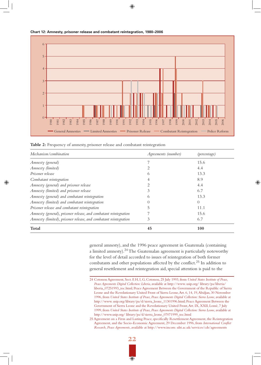



|  |  |  |  | Table 2: Frequency of amnesty, prisoner release and combatant reintegration |
|--|--|--|--|-----------------------------------------------------------------------------|
|  |  |  |  |                                                                             |

| Mechanism/combination                                            | Agreements (number) | (percentage) |
|------------------------------------------------------------------|---------------------|--------------|
| Amnesty (general)                                                |                     | 15.6         |
| Amnesty (limited)                                                |                     | 4.4          |
| Prisoner release                                                 | 6                   | 13.3         |
| Combatant reintegration                                          |                     | 8.9          |
| Amnesty (general) and prisoner release                           | っ                   | 4.4          |
| Amnesty (limited) and prisoner release                           | 3                   | 6.7          |
| Amnesty (general) and combatant reintegration                    | h                   | 13.3         |
| Amnesty (limited) and combatant reintegration                    |                     | $\Omega$     |
| Prisoner release and combatant reintegration                     | 5                   | 11.1         |
| Amnesty (general), prisoner release, and combatant reintegration |                     | 15.6         |
| Amnesty (limited), prisoner release, and combatant reintegration | 3                   | 6.7          |
| Total                                                            | 45                  | <b>100</b>   |

general amnesty), and the 1996 peace agreement in Guatemala (containing a limited amnesty).24 The Guatemalan agreement is particularly noteworthy for the level of detail accorded to issues of reintegration of both former combatants and other populations affected by the conflict.25 In addition to general resettlement and reintegration aid, special attention is paid to the

<sup>24</sup> Cotonou Agreement, Sect. F, H, I, G, Cotonou, 25 July 1993, from *United States Institute of Peace, Peace Agreements Digital Collection: Liberia*, available at http://www. usip.org/ library/pa/liberia/ liberia\_07251993\_toc.html; Peace Agreement Between the Government of the Republic of Sierra Leone and the Revolutionary United Front of Sierra Leone, Art. 6, 14, 19, Abidjan, 30 November 1996, from *United States Institute of Peace, Peace Agreements Digital Collection: Sierra Leone*, available at http://www. usip.org/library/pa/sl/sierra\_leone\_11301996.html; Peace Agreement Between the Government of Sierra Leone and the Revolutionary United Front, Art. IX, XXII, Lomé, 7 July 1999, from *United States Institute of Peace, Peace Agreements Digital Collection: Sierra Leone*, available at http://www.usip.org/ library/pa/sl/sierra\_leone\_07071999\_toc.html

<sup>25</sup> Agreement on a Firm and Lasting Peace, specifically Resettlement Agreement, the Reintegration Agreement, and the Socio-Economic Agreement, 29 December 1996, from *International Conflict Research, Peace Agreements*, available at http://www.incore. ulst.ac.uk/services/cds/agreements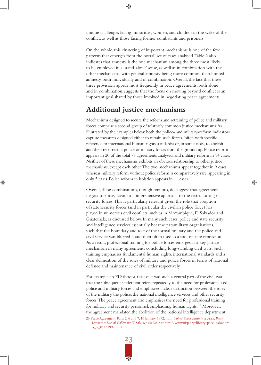unique challenges facing minorities, women, and children in the wake of the conflict, as well as those facing former combatants and prisoners.

On the whole, this clustering of important mechanisms is one of the few patterns that emerges from the overall set of cases analysed. Table 2 also indicates that amnesty is the one mechanism among the three most likely to be employed in a 'stand-alone' sense, as well as in combination with the other mechanisms, with general amnesty being more common than limited amnesty, both individually and in combination. Overall, the fact that these three provisions appear most frequently in peace agreements, both alone and in combination, suggests that the focus on moving beyond conflict is an important goal shared by those involved in negotiating peace agreements.

### **Additional justice mechanisms**

Mechanisms designed to secure the reform and retraining of police and military forces comprise a second group of relatively common justice mechanisms. As illustrated by the examples below, both the police- and military-reform indicators capture measures designed either to retrain such forces (often with specific reference to international human rights standards) or, in some cases, to abolish and then reconstruct police or military forces from the ground up. Police reform appears in 20 of the total 77 agreements analysed, and military reform in 14 cases. Neither of these mechanisms exhibits an obvious relationship to other justice mechanisms, except each other. The two mechanisms appear together in 9 cases, whereas military reform without police reform is comparatively rare, appearing in only 5 cases. Police reform in isolation appears in 11 cases.

Overall, these combinations, though tenuous, do suggest that agreement negotiators may favour a comprehensive approach to the restructuring of security forces. This is particularly relevant given the role that cooption of state security forces (and in particular the civilian police force) has played in numerous civil conflicts, such as in Mozambique, El Salvador and Guatemala, as discussed below. In many such cases, police and state security and intelligence services essentially became paramilitary organisations, such that the boundary and role of the formal military and the police and civil service was blurred – and then often used as a tool of state repression. As a result, professional training for police forces emerges as a key justice mechanism in many agreements concluding long-standing civil wars. Such training emphasises fundamental human rights, international standards and a clear delineation of the roles of military and police forces in terms of national defence and maintenance of civil order respectively.

For example, in El Salvador, this issue was such a central part of the civil war that the subsequent settlement refers repeatedly to the need for professionalised police and military forces and emphasises a clear distinction between the roles of the military, the police, the national intelligence services and other security forces. The peace agreement also emphasises the need for professional training for military and security personnel, emphasising human rights.<sup>26</sup> Moreover, the agreement mandated the abolition of the national intelligence department

<sup>26</sup> Peace Agreement, Parts 2, 6 and 7, 16 January 1992, from *United States Institute of Peace, Peace Agreements Digital Collection: El Salvador*, available at http://www.uisp.org/library/pa/el\_salvador/ pa\_es\_01161992.html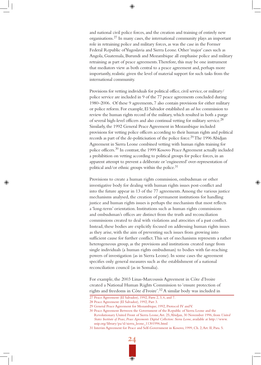and national civil police forces, and the creation and training of entirely new organisations.27 In many cases, the international community plays an important role in retraining police and military forces, as was the case in the Former Federal Republic of Yugoslavia and Sierra Leone. Other 'major' cases such as Angola, Guatemala, Burundi and Mozambique all emphasise police and military retraining as part of peace agreements. Therefore, this may be one instrument that mediators view as both central to a peace agreement and, perhaps more importantly, realistic given the level of material support for such tasks from the international community.

Provisions for vetting individuals for political office, civil service, or military/ police service are included in 9 of the 77 peace agreements concluded during 1980–2006. Of these 9 agreements, 7 also contain provisions for either military or police reform. For example, El Salvador established an *ad hoc* commission to review the human rights record of the military, which resulted in both a purge of several high-level officers and also continual vetting for military service.28 Similarly, the 1992 General Peace Agreement in Mozambique included provisions for vetting police officers according to their human rights and political records as part of the de-politicisation of the police force.<sup>29</sup> The 1996 Abidjan Agreement in Sierra Leone combined vetting with human rights training for police officers.30 In contrast, the 1999 Kosovo Peace Agreement actually included a prohibition on vetting according to political groups for police forces, in an apparent attempt to prevent a deliberate or 'engineered' over-representation of political and/or ethnic groups within the police. $31$ 

Provisions to create a human rights commission, ombudsman or other investigative body for dealing with human rights issues post-conflict and into the future appear in 13 of the 77 agreements. Among the various justice mechanisms analysed, the creation of permanent institutions for handling justice and human rights issues is perhaps the mechanism that most reflects a 'long-term' orientation. Institutions such as human rights commissions and ombudsman's offices are distinct from the truth and reconciliation commissions created to deal with violations and atrocities of a past conflict. Instead, these bodies are explicitly focused on addressing human rights issues as they arise, with the aim of preventing such issues from growing into sufficient cause for further conflict. This set of mechanisms represents a rather heterogeneous group, as the provisions and institutions created range from single individuals (a human rights ombudsman) to bodies with far-reaching powers of investigation (as in Sierra Leone). In some cases the agreement specifies only general measures such as the establishment of a national reconciliation council (as in Somalia).

For example, the 2003 Linas-Marcoussis Agreement in Côte d'Ivoire created a National Human Rights Commission to 'ensure protection of rights and freedoms in Côte d'Ivoire'.32 A similar body was included in

24

<sup>27</sup> Peace Agreement (El Salvador), 1992, Parts 2, 3, 6, and 7.

<sup>28</sup> Peace Agreement (El Salvador), 1992, Part 3.

<sup>29</sup> General Peace Agreement for Mozambique, 1992, Protocol IV and V.

<sup>30</sup> Peace Agreement Between the Government of the Republic of Sierra Leone and the Revolutionary United Front of Sierra Leone, Art. 25, Abidjan, 30 November 1996, from *United States Institute of Peace, Peace Agreements Digital Collection: Sierra Leone*, available at http://www. usip.org/library/pa/sl/sierra\_leone\_11301996.html

<sup>31</sup> Interim Agreement for Peace and Self-Government in Kosovo, 1999, Ch. 2, Art. II, Para. 5.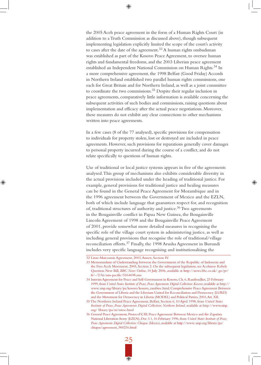the 2005 Aceh peace agreement in the form of a Human Rights Court (in addition to a Truth Commission as discussed above), though subsequent implementing legislation explicitly limited the scope of the court's activity to cases after the date of the agreement.<sup>33</sup> A human rights ombudsman was established as part of the Kosovo Peace Agreement, to oversee human rights and fundamental freedoms, and the 2003 Liberian peace agreement established an Independent National Commission on Human Rights.<sup>34</sup> In a more comprehensive agreement, the 1998 Belfast (Good Friday) Accords in Northern Ireland established two parallel human rights commissions, one each for Great Britain and for Northern Ireland, as well as a joint committee to coordinate the two commissions.35 Despite their regular inclusion in peace agreements, comparatively little information is available concerning the subsequent activities of such bodies and commissions, raising questions about implementation and efficacy after the actual peace negotiations. Moreover, these measures do not exhibit any clear connections to other mechanisms written into peace agreements.

In a few cases (8 of the 77 analysed), specific provisions for compensation to individuals for property stolen, lost or destroyed are included in peace agreements. However, such provisions for reparations generally cover damages to personal property incurred during the course of a conflict, and do not relate specifically to questions of human rights.

Use of traditional or local justice systems appears in five of the agreements analysed. This group of mechanisms also exhibits considerable diversity in the actual provisions included under the heading of traditional justice. For example, general provisions for traditional justice and healing measures can be found in the General Peace Agreement for Mozambique and in the 1996 agreement between the Government of Mexico and the EZLN, both of which include language that guarantees respect for, and recognition of, traditional structures of authority and justice.<sup>36</sup> Two agreements in the Bougainville conflict in Papua New Guinea, the Bougainville Lincoln Agreement of 1998 and the Bougainville Peace Agreement of 2001, provide somewhat more detailed measures in recognising the specific role of the village court system in administering justice, as well as including general provisions that recognise the role of traditional/village reconciliation efforts.37 Finally, the 1998 Arusha Agreement in Burundi includes very specific language recognising and institutionalising the

<sup>32</sup> Linas-Marcoussis Agreement, 2003, Annex, Section IV.

<sup>33</sup> Memorandum of Understanding between the Government of the Republic of Indonesia and the Free Aceh Movement, 2005, Section 2. On the subsequent legislation, see Acehnese Rebels Question New Bill, *BBC News Online*, 10 July 2006, available at http://news.bbc.co.uk/ go/pr/ fr/-/2/hi/asia-pacific/5164698.stm

<sup>34</sup> Interim Agreement for Peace and Self-Government in Kosovo, Ch. 6, Ramboulliet, 23 February 1999, from *United States Institute of Peace, Peace Agreements Digital Collection: Kosovo*, available at http:// www. uisp.org/library/pa/kosovo/kosovo\_rambtoc.html; Comprehensive Peace Agreement Between the Government of Liberia and the Liberians United for Reconciliation and Democracy (LURD) and the Movement for Democracy in Liberia (MODEL) and Political Parties, 2003, Art. XII.

<sup>35</sup> The Northern Ireland Peace Agreement, Belfast, Section 6, 10 April 1998, from *United States Institute of Peace, Peace Agreements Digital Collection: Northern Ireland*, available at http://www.uisp. org/ library/pa/ni/nitoc.html

<sup>36</sup> General Peace Agreement, Protocol V, III; Peace Agreement Between Mexico and the Zapatista National Liberation Army (EZLN), Doc 3.1, 16 February 1996, from *United States Institute of Peace, Peace Agreements Digital Collection: Chiapas (Mexico)*, available at http://www. uisp.org/library/pa/ chiapas/agreement\_960216.html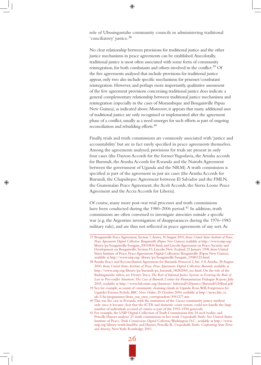role of Ubusingantahe community councils in administering traditional 'conciliatory' justice.<sup>38</sup>

No clear relationship between provisions for traditional justice and the other justice mechanisms in peace agreements can be established. Anecdotally, traditional justice is most often associated with some form of community reintegration, for both combatants and others involved in the conflict.<sup>39</sup> Of the five agreements analysed that include provisions for traditional justice appear, only two also include specific mechanisms for prisoner/combatant reintegration. However, and perhaps more importantly, qualitative assessment of the few agreement provisions concerning traditional justice does indicate a general complementary relationship between traditional justice mechanisms and reintegration (especially in the cases of Mozambique and Bougainville Papua New Guinea), as indicated above. Moreover, it appears that many additional uses of traditional justice are only recognised or implemented after the agreement phase of a conflict, usually as a need emerges for such efforts as part of ongoing reconciliation and rebuilding efforts.40

Finally, trials and truth commissions are commonly associated with 'justice and accountability' but are in fact rarely specified in peace agreements themselves. Among the agreements analysed, provisions for trials are present in only four cases (the Dayton Accords for the former Yugoslavia, the Arusha accords for Burundi, the Arusha Accords for Rwanda and the Nairobi Agreement between the government of Uganda and the NRM). A truth commission is specified as part of the agreement in just six cases (the Arusha Accords for Burundi, the Chapultepec Agreement between El Salvador and the FMLN, the Guatemalan Peace Agreement, the Aceh Accords, the Sierra Leone Peace Agreement and the Accra Accords for Liberia).

Of course, many more post-war trial processes and truth commissions have been conducted during the 1980–2006 period.<sup>41</sup> In addition, truth commissions are often convened to investigate atrocities outside a specific war (e.g. the Argentine investigation of disappearances during the 1976–1983 military rule), and are thus not reflected in peace agreements of any sort. As

<sup>37</sup> Bougainville Peace Agreement, Section 7, Arawa, 30 August 2001, from *United States Institute of Peace, Peace Agreements Digital Collection: Bougainville (Papua New Guinea)*, available at http://www.uisp.org/ library/pa/bougainville/bougain\_20010830.html; and Lincoln Agreement on Peace, Security and Development on Bougainville, Section F3, Lincoln, New Zealand, 23 January 1998, from United States Institute of Peace, Peace Agreements Digital Collection: Bougainville (Papua New Guinea), available at http://www.uisp.org/ library/pa/bougainville/bougain\_19980123.html

<sup>38</sup> Arusha Peace and Reconciliation Agreement for Burundi, Protocol 2, Art. 9-8, Arusha, 28 August 2000, from *United States Institute of Peace, Peace Agreements Digital Collection: Burundi*, available at http://www.usip.org/library/pa/burundi/pa\_burundi\_08282000\_toc.html. On the role of the Bashingantahe elders, see Dexter, Tracy, *The Role of Informal Justice Systems in Fostering the Rule of Law in Post-conflict Situations: The Case of Burundi*, Centre for Humanitarian Dialogue Report, July 2005, available at http://www.hdcentre.org/datastore/ Informal%20justice/Burundi%20final.pdf

<sup>39</sup> See, for example, accounts of community cleansing rituals in Uganda: Ross, Will, Forgiveness for Uganda's Former Rebels, *BBC News Online*, 25 October 2004, available at http://news.bbc.co. uk/2/hi/programmes/from\_our\_own\_correspondent/3951277.stm

<sup>40</sup> This was the case in Rwanda, with the institution of the *Gacaca* community justice method only once it became clear that the ICTR and domestic court system could not handle the large number of individuals accused of crimes as part of the 1993–1994 genocide.

<sup>41</sup> For example, the USIP Digital Collection of Truth Commissions lists 24 such bodies, and Priscilla Hayner analyses 21 truth commissions in her work *Unspeakable Truths*. See United States Institute of Peace, *Truth Commissions Digital Collection*, Washington D.C., available at http://www. usip.org/library/truth.html#tc and Hayner, Priscilla B., *Unspeakable Truths: Confronting State Terror and Atrocity*, New York: Routledge, 2001.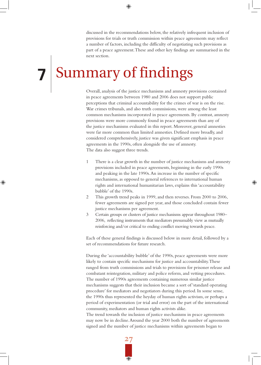discussed in the recommendations below, the relatively infrequent inclusion of provisions for trials or truth commission within peace agreements may reflect a number of factors, including the difficulty of negotiating such provisions as part of a peace agreement. These and other key findings are summarised in the next section.

# **7** Summary of findings

Overall, analysis of the justice mechanisms and amnesty provisions contained in peace agreements between 1980 and 2006 does not support public perceptions that criminal accountability for the crimes of war is on the rise. War crimes tribunals, and also truth commissions, were among the least common mechanisms incorporated in peace agreements. By contrast, amnesty provisions were more commonly found in peace agreements than any of the justice mechanisms evaluated in this report. Moreover, general amnesties were far more common than limited amnesties. Defined more broadly, and considered comprehensively, justice was given significant emphasis in peace agreements in the 1990s, often alongside the use of amnesty. The data also suggest three trends.

- 1 There is a clear growth in the number of justice mechanisms and amnesty provisions included in peace agreements, beginning in the early 1990s and peaking in the late 1990s. An increase in the number of specific mechanisms, as opposed to general references to international human rights and international humanitarian laws, explains this 'accountability bubble' of the 1990s.
- 2 This growth trend peaks in 1999, and then reverses. From 2000 to 2006, fewer agreements are signed per year, and those concluded contain fewer justice mechanisms per agreement.
- 3 Certain groups or clusters of justice mechanisms appear throughout 1980– 2006, reflecting instruments that mediators presumably view as mutually reinforcing and/or critical to ending conflict moving towards peace.

Each of these general findings is discussed below in more detail, followed by a set of recommendations for future research.

During the 'accountability bubble' of the 1990s, peace agreements were more likely to contain specific mechanisms for justice and accountability. These ranged from truth commissions and trials to provisions for prisoner release and combatant reintegration, military and police reform, and vetting procedures. The number of 1990s agreements containing numerous similar justice mechanisms suggests that their inclusion became a sort of 'standard operating procedure' for mediators and negotiators during this period. In some sense, the 1990s thus represented the heyday of human rights activism, or perhaps a period of experimentation (or trial and error) on the part of the international community, mediators and human rights activists alike.

The trend towards the inclusion of justice mechanisms in peace agreements may now be in decline. Around the year 2000 both the number of agreements signed and the number of justice mechanisms within agreements began to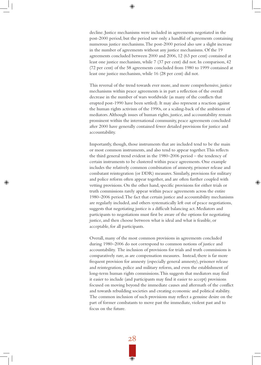decline. Justice mechanisms were included in agreements negotiated in the post-2000 period, but the period saw only a handful of agreements containing numerous justice mechanisms. The post-2000 period also saw a slight increase in the number of agreements without any justice mechanisms. Of the 19 agreements concluded between 2000 and 2006, 12 (63 per cent) contained at least one justice mechanism, while 7 (37 per cent) did not. In comparison, 42 (72 per cent) of the 58 agreements concluded from 1980 to 1999 contained at least one justice mechanism, while 16 (28 per cent) did not.

This reversal of the trend towards ever more, and more comprehensive, justice mechanisms within peace agreements is in part a reflection of the overall decrease in the number of wars worldwide (as many of the conflicts that erupted post-1990 have been settled). It may also represent a reaction against the human rights activism of the 1990s, or a scaling-back of the ambitions of mediators. Although issues of human rights, justice, and accountability remain prominent within the international community, peace agreements concluded after 2000 have generally contained fewer detailed provisions for justice and accountability.

Importantly, though, those instruments that are included tend to be the main or most common instruments, and also tend to appear together. This reflects the third general trend evident in the 1980–2006 period – the tendency of certain instruments to be clustered within peace agreements. One example includes the relatively common combination of amnesty, prisoner release and combatant reintegration (or DDR) measures. Similarly, provisions for military and police reform often appear together, and are often further coupled with vetting provisions. On the other hand, specific provisions for either trials or truth commissions rarely appear within peace agreements across the entire 1980–2006 period. The fact that certain justice and accountability mechanisms are regularly included, and others systematically left out of peace negotiations, suggests that negotiating justice is a difficult balancing act. Mediators and participants to negotiations must first be aware of the options for negotiating justice, and then choose between what is ideal and what is feasible, or acceptable, for all participants.

Overall, many of the most common provisions in agreements concluded during 1980–2006 do not correspond to common notions of justice and accountability. The inclusion of provisions for trials and truth commissions is comparatively rare, as are compensation measures. Instead, there is far more frequent provision for amnesty (especially general amnesty), prisoner release and reintegration, police and military reform, and even the establishment of long-term human rights commissions. This suggests that mediators may find it easier to include (and participants may find it easier to accept) provisions focused on moving beyond the immediate causes and aftermath of the conflict and towards rebuilding societies and creating economic and political stability. The common inclusion of such provisions may reflect a genuine desire on the part of former combatants to move past the immediate, violent past and to focus on the future.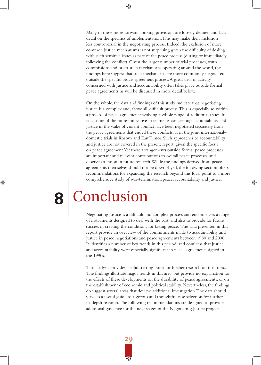Many of these more forward-looking provisions are loosely defined and lack detail on the specifics of implementation. This may make their inclusion less controversial in the negotiating process. Indeed, the exclusion of more common justice mechanisms is not surprising given the difficulty of dealing with such sensitive issues as part of the peace process (during or immediately following the conflict). Given the larger number of trial processes, truth commissions and other such mechanisms operating around the world, the findings here suggest that such mechanisms are more commonly negotiated outside the specific peace-agreement process. A great deal of activity concerned with justice and accountability often takes place outside formal peace agreements, as will be discussed in more detail below.

On the whole, the data and findings of this study indicate that negotiating justice is a complex and, above all, difficult process. This is especially so within a process of peace agreement involving a whole range of additional issues. In fact, some of the more innovative instruments concerning accountability and justice in the wake of violent conflict have been negotiated separately from the peace agreements that ended these conflicts, as in the joint international– domestic trials in Kosovo and East Timor. Such approaches to accountability and justice are not covered in the present report, given the specific focus on peace agreement. Yet these arrangements outside formal peace processes are important and relevant contributions to overall peace processes, and deserve attention in future research. While the findings derived from peace agreements themselves should not be downplayed, the following section offers recommendations for expanding the research beyond this focal point to a more comprehensive study of war-termination, peace, accountability and justice.

# **8** Conclusion

Negotiating justice is a difficult and complex process and encompasses a range of instruments designed to deal with the past, and also to provide for future success in creating the conditions for lasting peace. The data presented in this report provide an overview of the commitments made to accountability and justice in peace negotiations and peace agreements between 1980 and 2006. It identifies a number of key trends in this period, and confirms that justice and accountability were especially significant in peace agreements signed in the 1990s.

This analysis provides a solid starting point for further research on this topic. The findings illustrate major trends in this area, but provide no explanation for the effects of these developments on the durability of peace agreements, or on the establishment of economic and political stability. Nevertheless, the findings do suggest several areas that deserve additional investigation. The data should serve as a useful guide to rigorous and thoughtful case selection for further in-depth research. The following recommendations are designed to provide additional guidance for the next stages of the Negotiating Justice project.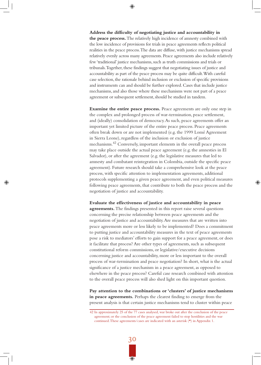**Address the difficulty of negotiating justice and accountability in the peace process.** The relatively high incidence of amnesty combined with the low incidence of provisions for trials in peace agreements reflects political realities in the peace process. The data are diffuse, with justice mechanisms spread relatively evenly across many agreements. Peace agreements also include relatively few 'traditional' justice mechanisms, such as truth commissions and trials or tribunals. Together, these findings suggest that negotiating issues of justice and accountability as part of the peace process may be quite difficult. With careful case selection, the rationale behind inclusion or exclusion of specific provisions and instruments can and should be further explored. Cases that include justice mechanisms, and also those where these mechanisms were not part of a peace agreement or subsequent settlement, should be studied in tandem.

**Examine the entire peace process.** Peace agreements are only one step in the complex and prolonged process of war-termination, peace settlement, and (ideally) consolidation of democracy. As such, peace agreements offer an important yet limited picture of the entire peace process. Peace agreements often break down or are not implemented (e.g. the 1999 Lomé Agreement in Sierra Leone), regardless of the inclusion or exclusion of justice mechanisms.42 Conversely, important elements in the overall peace process may take place outside the actual peace agreement (e.g. the amnesties in El Salvador), or after the agreement (e.g. the legislative measures that led to amnesty and combatant reintegration in Colombia, outside the specific peace agreement). Future research should take a comprehensive look at the peace process, with specific attention to implementation agreements, additional protocols supplementing a given peace agreement, and even political measures following peace agreements, that contribute to both the peace process and the negotiation of justice and accountability.

**Evaluate the effectiveness of justice and accountability in peace agreements.** The findings presented in this report raise several questions concerning the precise relationship between peace agreements and the negotiation of justice and accountability. Are measures that are written into peace agreements more or less likely to be implemented? Does a commitment to putting justice and accountability measures in the text of peace agreements pose a risk to mediators' efforts to gain support for a peace agreement, or does it facilitate that process? Are other types of agreements, such as subsequent constitutional reform commissions, or legislative/executive decisions concerning justice and accountability, more or less important to the overall process of war-termination and peace negotiation? In short, what is the actual significance of a justice mechanism in a peace agreement, as opposed to elsewhere in the peace process? Careful case research combined with attention to the overall peace process will also shed light on this important question.

**Pay attention to the combinations or 'clusters' of justice mechanisms in peace agreements.** Perhaps the clearest finding to emerge from the present analysis is that certain justice mechanisms tend to cluster within peace

<sup>42</sup> In approximately 25 of the 77 cases analysed, war broke out after the conclusion of the peace agreement; or the conclusion of the peace agreement failed to stop hostilities and the war continued. These agreements/cases are indicated with an asterisk (\*) in Appendix 1.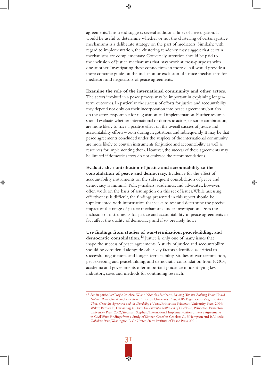agreements. This trend suggests several additional lines of investigation. It would be useful to determine whether or not the clustering of certain justice mechanisms is a deliberate strategy on the part of mediators. Similarly, with regard to implementation, the clustering tendency may suggest that certain mechanisms are complementary. Conversely, attention should be paid to the inclusion of justice mechanisms that may work at cross-purposes with one another. Investigating these connections in more detail would provide a more concrete guide on the inclusion or exclusion of justice mechanisms for mediators and negotiators of peace agreements.

### **Examine the role of the international community and other actors.**

The actors involved in a peace process may be important in explaining longerterm outcomes. In particular, the success of efforts for justice and accountability may depend not only on their incorporation into peace agreements, but also on the actors responsible for negotiation and implementation. Further research should evaluate whether international or domestic actors, or some combination, are more likely to have a positive effect on the overall success of justice and accountability efforts – both during negotiations and subsequently. It may be that peace agreements concluded under the auspices of the international community are more likely to contain instruments for justice and accountability as well as resources for implementing them. However, the success of these agreements may be limited if domestic actors do not embrace the recommendations.

**Evaluate the contribution of justice and accountability to the consolidation of peace and democracy.** Evidence for the effect of accountability instruments on the subsequent consolidation of peace and democracy is minimal. Policy-makers, academics, and advocates, however, often work on the basis of assumption on this set of issues. While assessing effectiveness is difficult, the findings presented in this report should be supplemented with information that seeks to test and determine the precise impact of the range of justice mechanisms under investigation. Does the inclusion of instruments for justice and accountability in peace agreements in fact affect the quality of democracy, and if so, precisely how?

**Use findings from studies of war-termination, peacebuilding, and**  democratic consolidation.<sup>43</sup> Justice is only one of many issues that shape the success of peace agreements. A study of justice and accountability should be considered alongside other key factors identified as critical to successful negotiations and longer-term stability. Studies of war-termination, peacekeeping and peacebuilding, and democratic consolidation from NGOs, academia and governments offer important guidance in identifying key indicators, cases and methods for continuing research.

<sup>43</sup> See in particular: Doyle, Michael W. and Nicholas Sambanis, *Making War and Building Peace: United Nations Peace Operations*, Princeton: Princeton University Press, 2006; Page Fortna, Virginia, *Peace Time: Cease-fire Agreement and the Durability of Peace*, Princeton: Princeton University Press, 2004; Walter, Barbara F., *Committing to Peace: The Successful Settlement of Civil Wars*, Princeton: Princeton University Press, 2002; Stedman, Stephen, 'International Implemen-tation of Peace Agreements in Civil Wars: Findings from a Study of Sixteen Cases' in Crocker, C., F. Hampson and P. All (eds), *Turbulent Peace*, Washington D.C.: United States Institute of Peace Press, 2001.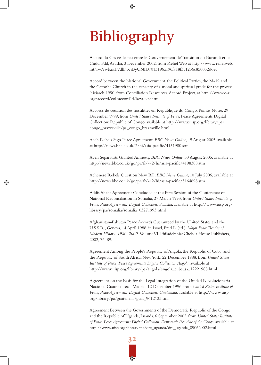# Bibliography

Accord du Cessez-le-feu entre le Gouvernement de Transition du Burundi et le Cndd-Fdd, Arusha, 3 December 2002, from Relief Web at http://www. reliefweb. int/rw/rwb.nsf/AllDocsByUNID/013196a196f718f3c1256c850052d6ec

Accord between the National Government, the Political Parties, the M-19 and the Catholic Church in the capacity of a moral and spiritual guide for the process, 9 March 1990, from Conciliation Resources, Accord Project, at http://www.c-r. org/accord/col/accord14/keytext.shtml

Accords de cessation des hostilities en République du Congo, Pointe-Noire, 29 December 1999, from *United States Institute of Peace*, Peace Agreements Digital Collection: Republic of Congo, available at http://www.uisp.org/library/pa/ congo\_brazzaville/pa\_congo\_brazzaville.html

Aceh Rebels Sign Peace Agreement, *BBC News Online*, 15 August 2005, available at http://news.bbc.co.uk/2/hi/asia-pacific/4151980.stm

Aceh Separatists Granted Amnesty, *BBC News Online*, 30 August 2005, available at http://news.bbc.co.uk/go/pr/fr/-/2/hi/asia-pacific/4198308.stm

Achenese Rebels Question New Bill, *BBC News Online,* 10 July 2006, available at http://news.bbc.co.uk/go/pr/fr/-/2/hi/asia-pacific/5164698.stm

Addis Ababa Agreement Concluded at the First Session of the Conference on National Reconciliation in Somalia, 27 March 1993, from *United States Institute of Peace*, *Peace Agreements Digital Collection: Somalia*, available at http://www.uisp.org/ library/pa/somalia/somalia\_03271993.html

Afghanistan-Pakistan Peace Accords Guaranteed by the United States and the U.S.S.R., Geneva, 14 April 1988, in Israel, Fred L. (ed.), *Major Peace Treaties of Modern History: 1980–2000,* Volume VI, Philadelphia: Chelsea House Publishers, 2002, 76–89.

Agreement Among the People's Republic of Angola, the Republic of Cuba, and the Republic of South Africa, New York, 22 December 1988, from *United States Institute of Peace*, *Peace Agreements Digital Collection: Angola*, available at http://www.uisp.org/library/pa/angola/angola\_cuba\_sa\_12221988.html

Agreement on the Basis for the Legal Integration of the Unidad Revolucionaria Nacional Guatemalteca, Madrid, 12 December 1996, from *United States Institute of Peace*, *Peace Agreements Digital Collection: Guatemala*, available at http://www.uisp. org/library/pa/guatemala/guat\_961212.html

Agreement Between the Governments of the Democratic Republic of the Congo and the Republic of Uganda, Luanda, 6 September 2002, from *United States Institute of Peace, Peace Agreements Digital Collection: Democratic Republic of the Congo*, available at http://www.uisp.org/library/pa/drc\_uganda/drc\_uganda\_09062002.html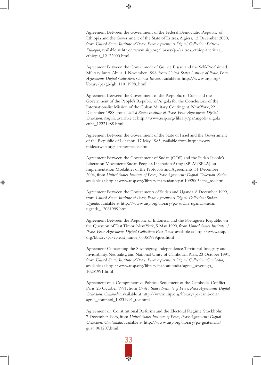Agreement Between the Government of the Federal Democratic Republic of Ethiopia and the Government of the State of Eritrea, Algiers, 12 December 2000, from *United States Institute of Peace*, *Peace Agreements Digital Collection: Eritrea-Ethiopia*, available at http://www.uisp.org/library/pa/eritrea\_ethiopia/eritrea\_ ethiopia\_12122000.html

Agreement Between the Government of Guinea Bissau and the Self-Proclaimed Military Junta, Abuja, 1 November 1998, from *United States Institute of Peace, Peace Agreements Digital Collection: Guinea-Bissau*, available at http://www.uisp.org/ library/pa/gb/gb\_11011998..html

Agreement Between the Government of the Republic of Cuba and the Government of the People's Republic of Angola for the Conclusions of the Internationalist Mission of the Cuban Military Contingent, New York, 22 December 1988, from *United States Institute of Peace, Peace Agreements Digital Collection: Angola*, available at http://www.usip.org/library/pa/angola/angola\_ cuba\_12221988.html

Agreement Between the Government of the State of Israel and the Government of the Republic of Lebanon, 17 May 1983, available from http://www. mideastweb.org/lebanonpeace.htm

Agreement Between the Government of Sudan (GOS) and the Sudan People's Liberation Movement/Sudan People's Liberation Army (SPLM/SPLA) on Implementation Modalities of the Protocols and Agreements, 31 December 2004, from *United States Institute of Peace, Peace Agreements Digital Collection: Sudan*, available at http://www.uisp.org/library/pa/sudan/cpa01092005/cpa\_toc.html

Agreement Between the Governments of Sudan and Uganda, 8 December 1999, from *United States Institute of Peace, Peace Agreements Digital Collection: Sudan-Uganda*, available at http://www.uisp.org/library/pa/sudan\_uganda/sudan\_ uganda\_12081999.html

Agreement Between the Republic of Indonesia and the Portuguese Republic on the Question of East Timor, New York, 5 May 1999, from *United States Institute of Peace, Peace Agreements Digital Collection: East Timor*, available at http://www.usip. org/library/pa/et/east\_timor\_05051999ques.html

Agreement Concerning the Sovereignty, Independence, Territorial Integrity and Inviolability, Neutrality, and National Unity of Cambodia, Paris, 23 October 1991, from *United States Institute of Peace, Peace Agreements Digital Collection: Cambodia*, available at http://www.uisp.org/library/pa/cambodia/agree\_sovereign\_ 10231991.html

Agreement on a Comprehensive Political Settlement of the Cambodia Conflict, Paris, 23 October 1991, from *United States Institute of Peace, Peace Agreements Digital Collection: Cambodia*, available at http://www.uisp.org/library/pa/cambodia/ agree\_comppol\_10231991\_toc.html

Agreement on Constitutional Reforms and the Electoral Regime, Stockholm, 7 December 1996, from *United States Institute of Peace, Peace Agreements Digital Collection: Guatemala*, available at http://www.uisp.org/library/pa/guatemala/ guat\_961207.html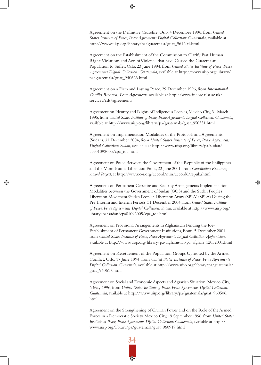Agreement on the Definitive Ceasefire, Oslo, 4 December 1996, from *United States Institute of Peace, Peace Agreements Digital Collection: Guatemala*, available at http://www.uisp.org/library/pa/guatemala/guat\_961204.html

Agreement on the Establishment of the Commission to Clarify Past Human Rights Violations and Acts of Violence that have Caused the Guatemalan Population to Suffer, Oslo, 23 June 1994, from *United States Institute of Peace, Peace Agreements Digital Collection: Guatemala*, available at http://www.uisp.org/library/ pa/guatemala/guat\_940623.html

Agreement on a Firm and Lasting Peace, 29 December 1996, from *International Conflict Research, Peace Agreements*, available at http://www.incore.ulst.ac.uk/ services/cds/agreements

Agreement on Identity and Rights of Indigenous Peoples, Mexico City, 31 March 1995, from *United States Institute of Peace, Peace Agreements Digital Collection: Guatemala*, available at http://www.uisp.org/library/pa/guatemala/guat\_950331.html

Agreement on Implementation Modalities of the Protocols and Agreements (Sudan), 31 December 2004, from *United States Institute of Peace, Peace Agreements Digital Collection: Sudan*, available at http://www.uisp.org/library/pa/sudan/ cpa01092005/cpa\_toc.html

Agreement on Peace Between the Government of the Republic of the Philippines and the Moro Islamic Liberation Front, 22 June 2001, from *Conciliation Resources, Accord Project*, at http://www.c-r.org/accord/min/accord6/repub.shtml

Agreement on Permanent Ceasefire and Security Arrangements Implementation Modalities between the Government of Sudan (GOS) and the Sudan People's Liberation Movement/Sudan People's Liberation Army (SPLM/SPLA) During the Pre-Interim and Interim Periods, 31 December 2004, from *United States Institute of Peace, Peace Agreements Digital Collection: Sudan*, available at http://www.uisp.org/ library/pa/sudan/cpa01092005/cpa\_toc.html

Agreement on Provisional Arrangements in Afghanistan Pending the Re-Establishment of Permanent Government Institutions, Bonn, 5 December 2001, from *United States Institute of Peace, Peace Agreements Digital Collection: Afghanistan*, available at http://www.uisp.org/library/pa/afghanistan/pa\_afghan\_12052001.html

Agreement on Resettlement of the Population Groups Uprooted by the Armed Conflict, Oslo, 17 June 1994, from *United States Institute of Peace, Peace Agreements Digital Collection: Guatemala*, available at http://www.uisp.org/library/pa/guatemala/ guat\_940617.html

Agreement on Social and Economic Aspects and Agrarian Situation, Mexico City, 6 May 1996, from *United States Institute of Peace, Peace Agreements Digital Collection: Guatemala*, available at http://www.uisp.org/library/pa/guatemala/guat\_960506. html

Agreement on the Strengthening of Civilian Power and on the Role of the Armed Forces in a Democratic Society, Mexico City, 19 September 1996, from *United States Institute of Peace, Peace Agreements Digital Collection: Guatemala*, available at http:// www.uisp.org/library/pa/guatemala/guat\_960919.html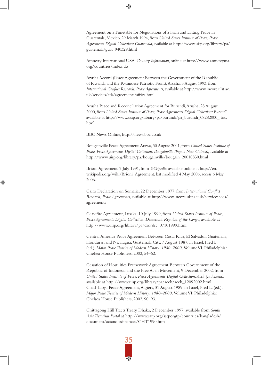Agreement on a Timetable for Negotiations of a Firm and Lasting Peace in Guatemala, Mexico, 29 March 1994, from *United States Institute of Peace, Peace Agreements Digital Collection: Guatemala*, available at http://www.uisp.org/library/pa/ guatemala/guat\_940329.html

Amnesty International USA, *Country Information*, online at http://www. amnestyusa. org/countries/index.do

Arusha Accord (Peace Agreement Between the Government of the Republic of Rwanda and the Rwandese Patriotic Front), Arusha, 3 August 1993, from *International Conflict Research, Peace Agreements*, available at http://www.incore.ulst.ac. uk/services/cds/agreements/africa.html

Arusha Peace and Reconciliation Agreement for Burundi, Arusha, 28 August 2000, from *United States Institute of Peace, Peace Agreements Digital Collection: Burundi*, available at http://www.usip.org/library/pa/burundi/pa\_burundi\_08282000\_ toc. html

BBC News Online, http://news.bbc.co.uk

Bougainville Peace Agreement, Arawa, 30 August 2001, from *United States Institute of Peace, Peace Agreements Digital Collection: Bougainville (Papua New Guinea)*, available at http://www.uisp.org/library/pa/bougainville/bougain\_20010830.html

Brioni Agreement, 7 July 1991, from *Wikipedia*, available online at http://en. wikipedia.org/wiki/Brioni\_Agreement, last modified 4 May 2006, access 6 May 2006.

Cairo Declaration on Somalia, 22 December 1977, from *International Conflict Research, Peace Agreements*, available at http://www.incore.ulst.ac.uk/services/cds/ agreements

Ceasefire Agreement, Lusaka, 10 July 1999, from *United States Institute of Peace, Peace Agreements Digital Collection: Democratic Republic of the Congo*, available at http://www.uisp.org/library/pa/drc/drc\_07101999.html

Central America Peace Agreement Between Costa Rica, El Salvador, Guatemala, Honduras, and Nicaragua, Guatemala City, 7 August 1987, in Israel, Fred L. (ed.), *Major Peace Treaties of Modern History: 1980–2000,* Volume VI, Philadelphia: Chelsea House Publishers, 2002, 54–62.

Cessation of Hostilities Framework Agreement Between Government of the Republic of Indonesia and the Free Aceh Movement, 9 December 2002, from *United States Institute of Peace, Peace Agreements Digital Collection: Aceh (Indonesia)*, available at http://www.uisp.org/library/pa/aceh/aceh\_12092002.html Chad–Libya Peace Agreement, Algiers, 31 August 1989, in Israel, Fred L. (ed.), *Major Peace Treaties of Modern History: 1980–2000,* Volume VI, Philadelphia: Chelsea House Publishers, 2002, 90–93.

Chittagong Hill Tracts Treaty, Dhaka, 2 December 1997, available from *South Asia Terrorism Portal* at http://www.satp.org/satporgtp/countries/bangladesh/ document/actandordinances/CHT1990.htm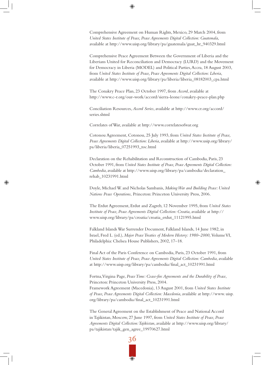Comprehensive Agreement on Human Rights, Mexico, 29 March 2004, from *United States Institute of Peace, Peace Agreements Digital Collection: Guatemala*, available at http://www.uisp.org/library/pa/guatemala/guat\_hr\_940329.html

Comprehensive Peace Agreement Between the Government of Liberia and the Liberians United for Reconciliation and Democracy (LURD) and the Movement for Democracy in Liberia (MODEL) and Political Parties, Accra, 18 August 2003, from *United States Institute of Peace, Peace Agreements Digital Collection: Liberia*, available at http://www.uisp.org/library/pa/liberia/liberia\_08182003\_cpa.html

The Conakry Peace Plan, 23 October 1997, from *Accord*, available at http://www.c-r.org/our-work/accord/sierra-leone/conakry-peace-plan.php

Conciliation Resources, *Accord Series*, available at http://www.cr.org/accord/ series.shtml

Correlates of War, available at http://www.correlatesofwar.org

Cotonou Agreement, Cotonou, 25 July 1993, from *United States Institute of Peace, Peace Agreements Digital Collection: Liberia*, available at http://www.usip.org/library/ pa/liberia/liberia\_07251993\_toc.html

Declaration on the Rehabilitation and Reconstruction of Cambodia, Paris, 23 October 1991, from *United States Institute of Peace, Peace Agreements Digital Collection: Cambodia*, available at http://www.uisp.org/library/pa/cambodia/declaration\_ rehab\_10231991.html

Doyle, Michael W. and Nicholas Sambanis, *Making War and Building Peace: United Nations Peace Operations*, Princeton: Princeton University Press, 2006.

The Erdut Agreement, Erdut and Zagreb, 12 November 1995, from *United States Institute of Peace, Peace Agreements Digital Collection: Croatia*, available at http:// www.uisp.org/library/pa/croatia/croatia\_erdut\_11121995.html

Falkland Islands War Surrender Document, Falkland Islands, 14 June 1982, in Israel, Fred L. (ed.), *Major Peace Treaties of Modern History: 1980–2000,* Volume VI, Philadelphia: Chelsea House Publishers, 2002, 17–18.

Final Act of the Paris Conference on Cambodia, Paris, 23 October 1991, from *United States Institute of Peace, Peace Agreements Digital Collection: Cambodia*, available at http://www.uisp.org/library/pa/cambodia/final\_act\_10231991.html

Fortna, Virgina Page, *Peace Time: Cease-fire Agreements and the Durability of Peace*, Princeton: Princeton University Press, 2004.

Framework Agreement (Macedonia), 13 August 2001, from *United States Institute of Peace, Peace Agreements Digital Collection: Macedonia*, available at http://www. uisp. org/library/pa/cambodia/final\_act\_10231991.html

The General Agreement on the Establishment of Peace and National Accord in Tajikistan, Moscow, 27 June 1997, from *United States Institute of Peace, Peace Agreements Digital Collection: Tajikistan*, available at http://www.uisp.org/library/ pa/tajikistan/tajik\_gen\_agree\_19970627.html

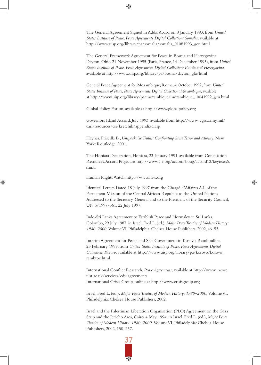The General Agreement Signed in Addis Ababa on 8 January 1993, from *United States Institute of Peace, Peace Agreements Digital Collection: Somalia*, available at http://www.uisp.org/library/pa/somalia/somalia\_01081993\_gen.html

The General Framework Agreement for Peace in Bosnia and Herzegovina, Dayton, Ohio 21 November 1995 (Paris, France, 14 December 1995), from *United States Institute of Peace, Peace Agreements Digital Collection: Bosnia and Herzegovina*, available at http://www.uisp.org/library/pa/bosnia/dayton\_gfa/html

General Peace Agreement for Mozambique, Rome, 4 October 1992, from *United States Institute of Peace*, *Peace Agreements Digital Collection: Mozambique*, available at http://www.uisp.org/library/pa/mozambique/mozambique\_10041992\_gen.html

Global Policy Forum, available at http://www.globalpolicy.org

Governors Island Accord, July 1993, available from http://www-cgsc.army.mil/ carl/resources/csi/kretchik/appendixd.asp

Hayner, Priscilla B., *Unspeakable Truths: Confronting State Terror and Atrocity*, New York: Routledge, 2001.

The Honiara Declaration, Honiara, 23 January 1991, available from Conciliation Resources, Accord Project, at http://www.c-r.org/accord/boug/accord12/keytexts6. shmtl

Human Rights Watch, http://www.hrw.org

Identical Letters Dated 18 July 1997 from the Chargé d'Affaires A.I. of the Permanent Mission of the Central African Republic to the United Nations Addressed to the Secretary-General and to the President of the Security Council, UN S/1997/561, 22 July 1997.

Indo-Sri Lanka Agreement to Establish Peace and Normalcy in Sri Lanka, Colombo, 29 July 1987, in Israel, Fred L. (ed.), *Major Peace Treaties of Modern History: 1980–2000,* Volume VI, Philadelphia: Chelsea House Publishers, 2002, 46–53.

Interim Agreement for Peace and Self-Government in Kosovo, Ramboulliet, 23 February 1999, from *United States Institute of Peace, Peace Agreements Digital Collection: Kosovo*, available at http://www.uisp.org/library/pa/kosovo/kosovo\_ rambtoc.html

International Conflict Research, *Peace Agreements*, available at http://www.incore. ulst.ac.uk/services/cds/agreements International Crisis Group, online at http://www.crisisgroup.org

Israel, Fred L. (ed.), *Major Peace Treaties of Modern History: 1980–2000,* Volume VI, Philadelphia: Chelsea House Publishers, 2002.

Israel and the Palestinian Liberation Organisation (PLO) Agreement on the Gaza Strip and the Jericho Area, Cairo, 4 May 1994, in Israel, Fred L. (ed.), *Major Peace Treaties of Modern History: 1980–2000,* Volume VI, Philadelphia: Chelsea House Publishers, 2002, 150–257.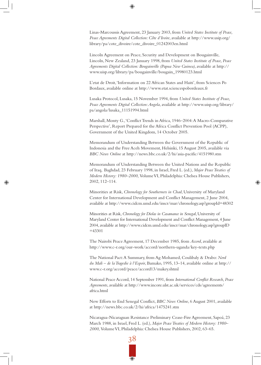Linas-Marcoussis Agreement, 23 January 2003, from *United States Institute of Peace, Peace Agreements Digital Collection: Côte d'Ivoire*, available at http://www.usip.org/ library/pa/cote\_divoire/cote\_divoire\_01242003en.html

Lincoln Agreement on Peace, Security and Development on Bougainville, Lincoln, New Zealand, 23 January 1998, from *United States Institute of Peace, Peace Agreements Digital Collection: Bougainville (Papua New Guinea)*, available at http:// www.uisp.org/library/pa/bougainville/bougain\_19980123.html

L'etat de Droit, 'Information on 22 African States and Haiti', from Sciences Po Bordaux, available online at http://www.etat.sciencespobordeaux.fr

Lusaka Protocol, Lusaka, 15 November 1994, from *United States Institute of Peace, Peace Agreements Digital Collection: Angola*, available at http://www.uisp.org/library/ pa/angola/lusaka\_11151994.html

Marshall, Monty G., 'Conflict Trends in Africa, 1946–2004: A Macro-Comparative Perspective', Report Prepared for the Africa Conflict Prevention Pool (ACPP), Government of the United Kingdom, 14 October 2005.

Memorandum of Understanding Between the Government of the Republic of Indonesia and the Free Aceh Movement, Helsinki, 15 August 2005, available via *BBC News Online* at http://news.bbc.co.uk/2/hi/asia-pacific/4151980.stm

Memorandum of Understanding Between the United Nations and the Republic of Iraq, Baghdad, 23 February 1998, in Israel, Fred L. (ed.), *Major Peace Treaties of Modern History: 1980–2000,* Volume VI, Philadelphia: Chelsea House Publishers, 2002, 112–114.

Minorities at Risk, *Chronology for Southerners in Chad*, University of Maryland Center for International Development and Conflict Management, 2 June 2004, available at http://www.cidcm.umd.edu/inscr/mar/chronology.asp?groupId=48302

Minorities at Risk, *Chronology for Diolas in Casamance in Senegal*, University of Maryland Center for International Development and Conflict Management, 4 June 2004, available at http://www.cidcm.umd.edu/inscr/mar/chronology.asp?groupID  $=43301$ 

The Nairobi Peace Agreement, 17 December 1985, from *Accord*, available at http://www.c-r.org/our-work/accord/northern-uganda/key-texts.php

The National Pact: A Summary, from Ag Mohamed, Coulibaly & Drabo: *Nord du Mali – de la Tragedie à l'Espoir*, Bamako, 1995, 13–14, available online at http:// www.c-r.org/accord/peace/accord13/makey.shtml

National Peace Accord, 14 September 1991, from *International Conflict Research, Peace Agreements*, available at http://www.incore.ulst.ac.uk/services/cds/agreements/ africa.html

New Efforts to End Senegal Conflict, *BBC News Online*, 6 August 2001, available at http://news.bbc.co.uk/2/hi/africa/1475241.stm

Nicaragua-Nicaraguan Resistance Preliminary Cease-Fire Agreement, Sapoá, 23 March 1988, in Israel, Fred L. (ed.), *Major Peace Treaties of Modern History: 1980– 2000,* Volume VI, Philadelphia: Chelsea House Publishers, 2002, 63–65.

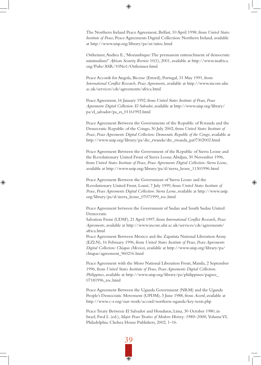The Northern Ireland Peace Agreement, Belfast, 10 April 1998, from *United States Institute of Peace*, Peace Agreements Digital Collection: Northern Ireland, available at http://www.uisp.org/library/pa/ni/nitoc.html

Ostheimer, Andrea E., 'Mozambique: The permanent entrenchment of democratic minimalism?' *African Security Review* 10(1), 2001, available at http://www.issafrica. org/Pubs/ASR/10No1/Ostheimer.html

Peace Accords for Angola, Bicesse (Estoril), Portugal, 31 May 1991, from *International Conflict Research, Peace Agreements*, available at http://www.incore.ulst. ac.uk/services/cds/agreements/africa.html

Peace Agreement, 16 January 1992, from *United States Institute of Peace, Peace Agreements Digital Collection: El Salvador*, available at http://www.uisp.org/library/ pa/el\_salvador/pa\_es\_01161992.html

Peace Agreement Between the Governments of the Republic of Rwanda and the Democratic Republic of the Congo, 30 July 2002, from *United States Institute of Peace*, *Peace Agreements Digital Collection: Democratic Republic of the Congo*, available at http://www.usip.org/library/pa/drc\_rwanda/drc\_rwanda\_pa07302002.html

Peace Agreement Between the Government of the Republic of Sierra Leone and the Revolutionary United Front of Sierra Leone, Abidjan, 30 November 1996, from *United States Institute of Peace, Peace Agreements Digital Collection: Sierra Leone*, available at http://www.usip.org/library/pa/sl/sierra\_leone\_11301996.html

Peace Agreement Between the Government of Sierra Leone and the Revolutionary United Front, Lomé, 7 July 1999, from *United States Institute of Peace, Peace Agreements Digital Collection: Sierra Leone*, available at http://www.usip. org/library/pa/sl/sierra\_leone\_07071999\_toc.html

Peace Agreement between the Government of Sudan and South Sudan United Democratic

Salvation Front (UDSF), 21 April 1997, from *International Conflict Research, Peace Agreements*, available at http://www.incore.ulst.ac.uk/services/cds/agreements/ africa.html

Peace Agreement Between Mexico and the Zapatista National Liberation Army (EZLN), 16 February 1996, from *United States Institute of Peace, Peace Agreements Digital Collection: Chiapas (Mexico)*, available at http://www.uisp.org/library/pa/ chiapas/agreement\_960216.html

Peace Agreement with the Moro National Liberation Front, Manila, 2 September 1996, from *United States Institute of Peace, Peace Agreements Digital Collection: Philippines*, available at http://www.uisp.org/library/pa/philippines/pagree\_ 07181996\_toc.html

Peace Agreement Between the Uganda Government (NRM) and the Uganda People's Democratic Movement (UPDM), 3 June 1988, from *Accord*, available at http://www.c-r.org/our-work/accord/northern-uganda/key-texts.php

Peace Treaty Between El Salvador and Honduras, Lima, 30 October 1980, in Israel, Fred L. (ed.), *Major Peace Treaties of Modern History: 1980–2000,* Volume VI, Philadelphia: Chelsea House Publishers, 2002, 1–16.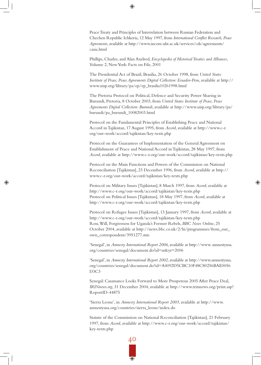Peace Treaty and Principles of Interrelation between Russian Federation and Chechen Republic Ichkeria, 12 May 1997, from *International Conflict Research, Peace Agreements*, available at http://www.incore.ulst.ac.uk/services/cds/agreements/ casia.html

Phillips, Charles, and Alan Axelrod, *Encyclopedia of Historical Treaties and Alliances*, Volume 2, New York: Facts on File, 2001

The Presidential Act of Brazil, Brasilia, 26 October 1998, from *United States Institute of Peace, Peace Agreements Digital Collection: Ecuador-Peru*, available at http:// www.uisp.org/library/pa/ep/ep\_brasilia10261998.html

The Pretoria Protocol on Political, Defence and Security Power Sharing in Burundi, Pretoria, 8 October 2003, from *United States Institute of Peace, Peace Agreements Digital Collection: Burundi*, available at http://www.uisp.org/library/pa/ burundi/pa\_burundi\_10082003.html

Protocol on the Fundamental Principles of Establishing Peace and National Accord in Tajikistan, 17 August 1995, from *Accord*, available at http://www.c-r. org/our-work/accord/tajikistan/key-texts.php

Protocol on the Guarantees of Implementation of the General Agreement on Establishment of Peace and National Accord in Tajikistan, 28 May 1997, from *Accord*, available at http://www.c-r.org/our-work/accord/tajikistan/key-texts.php

Protocol on the Main Functions and Powers of the Commission on National Reconciliation [Tajikistan], 23 December 1996, from *Accord*, available at http:// www.c-r.org/our-work/accord/tajikistan/key-texts.php

Protocol on Military Issues [Tajikistan], 8 March 1997, from *Accord*, available at http://www.c-r.org/our-work/accord/tajikistan/key-texts.php Protocol on Political Issues [Tajikistan], 18 May 1997, from *Accord*, available at http://www.c-r.org/our-work/accord/tajikistan/key-texts.php

Protocol on Refugee Issues [Tajikistan], 13 January 1997, from *Accord*, available at http://www.c-r.org/our-work/accord/tajikistan/key-texts.php Ross, Will, Forgiveness for Uganda's Former Rebels, *BBC News Online*, 25 October 2004, available at http://news.bbc.co.uk/2/hi/programmes/from\_our\_ own\_correspondent/3951277.stm

'Senegal', in *Amnesty International Report 2006*, available at http://www. amnestyusa. org/countries/senegal/document.do?id=ar&yr=2006

'Senegal', in *Amnesty International Report 2002*, available at http://www.amnestyusa. org/countries/senegal/document.do?id=A4092D5CBC10F48C80256BAE0056 D3C3

Senegal: Casamance Looks Forward to More Prosperous 2005 After Peace Deal, *IRINnews.org*, 31 December 2004, available at http://www.irinnews.org/print.asp? ReportID-44875

'Sierra Leone', in *Amnesty International Report 2003*, available at http://www. amnestyusa.org/countries/sierra\_leone/index.do

Statute of the Commission on National Reconciliation [Tajikistan], 21 February 1997, from *Accord*, available at http://www.c-r.org/our-work/accord/tajikistan/ key-texts.php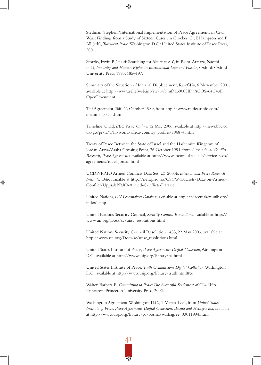Stedman, Stephen, 'International Implementation of Peace Agreements in Civil Wars: Findings from a Study of Sixteen Cases', in Crocker, C., F. Hampson and P. All (eds), *Turbulent Peace,* Washington D.C.: United States Institute of Peace Press, 2001.

Stotzky, Irwin P., 'Haiti: Searching for Alternatives', in Roht-Arriaza, Naomi (ed.), *Impunity and Human Rights in International Law and Practice*, Oxford: Oxford University Press, 1995, 185–197.

Summary of the Situation of Internal Displacement, *ReliefWeb*, 6 November 2001, available at http://www.reliefweb.int/rw/rwb.nsf/db900SID/ACOS-64C43D? OpenDocument

Taif Agreement, Taif, 22 October 1989, from http://www.mideastinfo.com/ documents/taif.htm

Timeline: Chad, *BBC News Online*, 12 May 2006, available at http://news.bbc.co. uk/go/pr/fr/1/hi/world/africa/country\_profiles/1068745.stm

Treaty of Peace Between the State of Israel and the Hashemite Kingdom of Jordan, Arava/Araba Crossing Point, 26 October 1994, from *International Conflict Research, Peace Agreements*, available at http://www.incore.ulst.ac.uk/services/cds/ agreements/israel-jordan.html

UCDP/PRIO Armed Conflicts Data Set, v.3-2005b, *International Peace Research Institute, Oslo*, available at http://new.prio.no/CSCW-Datasets/Data-on-Armed-Conflict/UppsalaPRIO-Armed-Conflicts-Dataset

United Nations, *UN Peacemakers Database*, available at http://peacemaker.unlb.org/ index1.php

United Nations Security Council, *Security Council Resolutions*, available at http:// www.un.org/Docs/sc/unsc\_resolutions.html

United Nations Security Council Resolution 1483, 22 May 2003, available at http://www.un.org/Docs/sc/unsc\_resolutions.html

United States Institute of Peace, *Peace Agreements Digital Collection*, Washington D.C., available at http://www.usip.org/library/pa.html

United States Institute of Peace, *Truth Commissions Digital Collection*, Washington D.C., available at http://www.usip.org/library/truth.html#tc

Walter, Barbara F., *Committing to Peace: The Successful Settlement of Civil Wars,*  Princeton: Princeton University Press, 2002.

Washington Agreement, Washington D.C., 1 March 1994, from *United States Institute of Peace, Peace Agreements Digital Collection: Bosnia and Herzegovina*, available at http://www.uisp.org/library/pa/bosnia/washagree\_03011994.html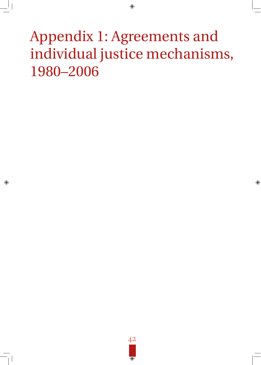# Appendix 1: Agreements and individual justice mechanisms, 1980–2006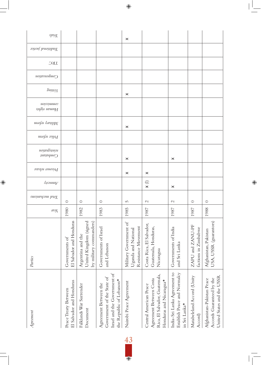| Agreement                                                                                                       | Parties                                                                | $\iota\nu\partial\chi$ | Total mechanisms | $\lambda$ <i>sauu</i> | Prisoner release | น011ขา8อ1น1อง<br>Combatant | ило $\beta$ л әэңо $d$ | шлоfәл Лю1111 $W$ | uoissimmos<br>$\mathfrak{su}$ 8 $\mu$ uvun $H$ | $\delta u$ 1112 $\Lambda$ | Compensation | TRC | Traditional justice | $s$ p $u$ L |
|-----------------------------------------------------------------------------------------------------------------|------------------------------------------------------------------------|------------------------|------------------|-----------------------|------------------|----------------------------|------------------------|-------------------|------------------------------------------------|---------------------------|--------------|-----|---------------------|-------------|
| El Salvador and Honduras<br>Peace Treaty Between                                                                | El Salvador and Honduras<br>Governments of                             | 1980                   | $\circ$          |                       |                  |                            |                        |                   |                                                |                           |              |     |                     |             |
| Falklands War Surrender<br>Document                                                                             | United Kingdom (signed<br>by military commanders)<br>Argentina and the | 1982                   | $\circ$          |                       |                  |                            |                        |                   |                                                |                           |              |     |                     |             |
| Israel and the Government of<br>Government of the State of<br>the Republic of Lebanon*<br>Agreement Between the | Governments of Israel<br>and Lebanon                                   | 1983                   | $\circ$          |                       |                  |                            |                        |                   |                                                |                           |              |     |                     |             |
| Nairobi Peace Agreement                                                                                         | Military Government of<br>Resistance Movement<br>Uganda and National   | 1985                   | LO.              |                       | $\times$         | $\times$                   |                        | $\times$          |                                                | $\times$                  |              |     |                     | $\times$    |
| Rica, El Salvador, Guatemala,<br>Agreement Between Costa<br>Honduras and Nicaragua*<br>Central American Peace   | Costa Rica, El Salvador,<br>Guatemala, Honduras,<br>Nicaragua          | 1987                   | $\mathcal{C}$    | $\ominus$<br>$\times$ | $\times$         |                            |                        |                   |                                                |                           |              |     |                     |             |
| India-Sri Lanka Agreement to<br>Establish Peace and Normalcy<br>in Sri Lanka*                                   | Governments of India<br>and Sri Lanka                                  | 1987                   | $\mathcal{C}$    | $\times$              |                  | $\times$                   |                        |                   |                                                |                           |              |     |                     |             |
| Matabeleland Accord (Unity<br>Accord)                                                                           | ZAPU and ZANU-PF<br>factions in Zimbabwe                               | 1987                   | $\circ$          |                       |                  |                            |                        |                   |                                                |                           |              |     |                     |             |
| United States and the USSR<br>Accords Guaranteed by the<br>Afghanistan-Pakistan Peace                           | USA, USSR (guarantors)<br>Afghanistan, Pakistan                        | 1988                   | $\circ$          |                       |                  |                            |                        |                   |                                                |                           |              |     |                     |             |
|                                                                                                                 |                                                                        |                        |                  |                       |                  |                            |                        |                   |                                                |                           |              |     |                     |             |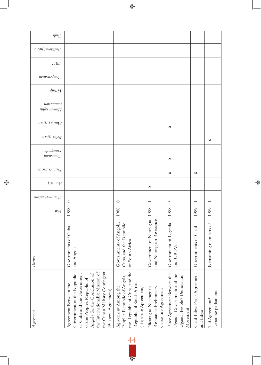| $A$ greement                                                                                                                                                                                                                                  | Parties                                                             | <i><b>AD</b></i> | Total mechanisms | $\lambda$ <i>səu<math>w</math>v</i> | Prisoner release | น011ขา8อ1น1อเ<br>Combatant | $u\mu$ ofice reform | шлоfәл Лю1111 $W$ | uoissimmos<br>$\mathfrak{su}$ 8 $\mu$ uvun $H$ | $\delta u$ 1112 $\Lambda$ | Compensation | TRC | Traditional justice | $spin \underline{L}$ |
|-----------------------------------------------------------------------------------------------------------------------------------------------------------------------------------------------------------------------------------------------|---------------------------------------------------------------------|------------------|------------------|-------------------------------------|------------------|----------------------------|---------------------|-------------------|------------------------------------------------|---------------------------|--------------|-----|---------------------|----------------------|
| the Cuban Military Contingent<br>the Internationalist Mission of<br>Angola for the Conclusion of<br>of Cuba and the Government<br>Government of the Republic<br>of the People's Republic of<br>Agreement Between the<br>(Bilateral Agreement) | Governments of Cuba<br>and Angola                                   | 1988             | $\circ$          |                                     |                  |                            |                     |                   |                                                |                           |              |     |                     |                      |
| the Republic of Cuba, and the<br>People's Republic of Angola,<br>Republic of South Africa<br>Agreement Among the<br>(Tripartite Agreement)                                                                                                    | Governments of Angola,<br>Cuba, and the Republic<br>of South Africa | 1988             | $\circ$          |                                     |                  |                            |                     |                   |                                                |                           |              |     |                     |                      |
| Resistance Preliminary<br>Nicaragua-Nicaraguan<br>Cease-fire Agreement                                                                                                                                                                        | and Nicaraguan Resistance<br>Government of Nicaragua                | 1988             |                  | $\pmb{\times}$                      |                  |                            |                     |                   |                                                |                           |              |     |                     |                      |
| Peace Agreement Between the<br>Uganda Government and the<br>Uganda People's Democratic<br>Movement                                                                                                                                            | Government of Uganda<br>and UPDM                                    | 1988             | $\mathcal{L}$    |                                     | $\pmb{\times}$   | $\times$                   |                     | $\pmb{\times}$    |                                                |                           |              |     |                     |                      |
| Chad-Libya Peace Agreement<br>and Libya                                                                                                                                                                                                       | Governments of Chad                                                 | 1989             |                  |                                     | $\pmb{\times}$   |                            |                     |                   |                                                |                           |              |     |                     |                      |
| Lebanese parliament<br>Taif Agreement*                                                                                                                                                                                                        | Remaining members of                                                | 1989             |                  |                                     |                  |                            | $\times$            |                   |                                                |                           |              |     |                     |                      |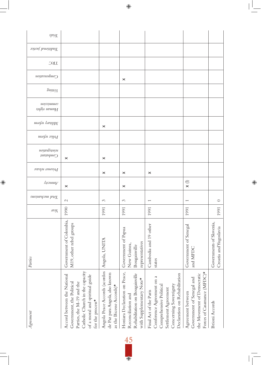| Agreement                                                                                                                                                                      | Parties                                                               | ndY  | Total mechanisms | $\lambda$ <i>səu<math>u</math>v</i> | Prisoner release | น011ขา8อ1นาอเ<br>Combatant | ило $\beta$ л әэпр $\sigma$ | шлоfәл Лю1111 $W$ | uoissiuuuos<br>$\mathfrak{su}$ 8 $\mu$ uvun $H$ | $\delta u$ 1112 $\Lambda$ | Compensation   | TRC | Traditional justice | $s$ puL |
|--------------------------------------------------------------------------------------------------------------------------------------------------------------------------------|-----------------------------------------------------------------------|------|------------------|-------------------------------------|------------------|----------------------------|-----------------------------|-------------------|-------------------------------------------------|---------------------------|----------------|-----|---------------------|---------|
| Catholic Church in the capacity<br>Accord between the National<br>of a moral and spiritual guide<br>Government, the Political<br>Parties, the M-19 and the<br>for the process* | Government of Colombia,<br>M19, other rebel groups                    | 1990 | $\mathcal{C}$    | $\times$                            |                  | ×                          |                             |                   |                                                 |                           |                |     |                     |         |
| Angola Peace Accords (acordos<br>de Paz para Angola, also known<br>as the Bicesse Accords)*                                                                                    | Angola, UNITA                                                         | 1991 | 3                |                                     | $\times$         | $\times$                   |                             | $\times$          |                                                 |                           |                |     |                     |         |
| Honiara Declaration on Peace,<br>Rehabilitation on Bougainville<br>with Supplementary Note*<br>Reconciliation and                                                              | Government of Papua<br>representatives<br>New Guinea,<br>Bougainville | 1991 | $\mathcal{C}$    | $\pmb{\times}$                      | $\times$         |                            |                             |                   |                                                 |                           | $\pmb{\times}$ |     |                     |         |
| Declaration on Rehabilitation<br>Conference Agreement on a<br>Comprehensive Political<br>Concerning Sovereignty<br>Settlement Agreement<br>Final Act of the Paris              | Cambodia and 19 other<br>states                                       | 1991 |                  |                                     | $\times$         |                            |                             |                   |                                                 |                           |                |     |                     |         |
| Forces of Casamance (MFDC)*<br>the Movement of Democratic<br>Government of Senegal and<br>Agreement between                                                                    | Government of Senegal<br>and MFDC                                     | 1991 |                  | $\ominus$<br>×                      |                  |                            |                             |                   |                                                 |                           |                |     |                     |         |
| <b>Brioni Accords</b>                                                                                                                                                          | Governments of Slovenia,<br>Croatia and Yugoslavia                    | 1991 | $\circ$          |                                     |                  |                            |                             |                   |                                                 |                           |                |     |                     |         |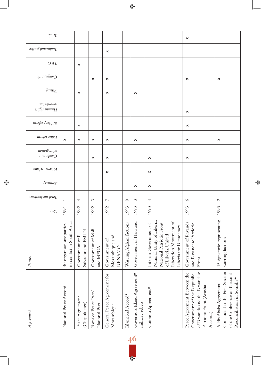| $s$ p $u$ L                                |                                                         |                                       |                                     |                                                  |                                 |                                                |                                                                                                                                                          | $\times$                                                                                                                       |                                                                                                                        |
|--------------------------------------------|---------------------------------------------------------|---------------------------------------|-------------------------------------|--------------------------------------------------|---------------------------------|------------------------------------------------|----------------------------------------------------------------------------------------------------------------------------------------------------------|--------------------------------------------------------------------------------------------------------------------------------|------------------------------------------------------------------------------------------------------------------------|
| Traditional justice                        |                                                         |                                       |                                     | $\times$                                         |                                 |                                                |                                                                                                                                                          |                                                                                                                                |                                                                                                                        |
| TRC                                        |                                                         | ×                                     |                                     |                                                  |                                 |                                                |                                                                                                                                                          |                                                                                                                                |                                                                                                                        |
| $u$ onpensano $D$                          |                                                         |                                       | $\times$                            | $\times$                                         |                                 |                                                |                                                                                                                                                          | $\times$                                                                                                                       | $\times$                                                                                                               |
| $\delta u$ 1112 $\Lambda$                  |                                                         | $\pmb{\times}$                        |                                     | $\times$                                         |                                 | $\pmb{\times}$                                 |                                                                                                                                                          |                                                                                                                                |                                                                                                                        |
| uoissiuuuos<br>$\mathfrak{su}$ δμ uvun $H$ |                                                         |                                       |                                     |                                                  |                                 |                                                |                                                                                                                                                          | $\times$                                                                                                                       |                                                                                                                        |
|                                            |                                                         | $\pmb{\times}$                        |                                     |                                                  |                                 |                                                |                                                                                                                                                          | $\pmb{\times}$                                                                                                                 |                                                                                                                        |
| ило $\beta$ л әэңо $d$                     | $\times$                                                | $\pmb{\times}$                        | $\pmb{\times}$                      | $\pmb{\times}$                                   |                                 | $\times$                                       |                                                                                                                                                          | $\pmb{\times}$                                                                                                                 | $\times$                                                                                                               |
| น011ขา8อ1น1อง<br>Combatant                 |                                                         |                                       | $\pmb{\times}$                      | $\times$                                         |                                 |                                                | $\pmb{\times}$                                                                                                                                           | $\times$                                                                                                                       |                                                                                                                        |
| Prisoner release                           |                                                         |                                       |                                     | $\times$                                         |                                 |                                                | $\times$                                                                                                                                                 |                                                                                                                                |                                                                                                                        |
| $\lambda$ <i>ssuu</i>                      |                                                         |                                       |                                     |                                                  |                                 | ×                                              | $\times$                                                                                                                                                 |                                                                                                                                |                                                                                                                        |
| Total mechanisms                           | $\overline{\phantom{0}}$                                | $\overline{\phantom{a}}$              | $\mathcal{L}$                       | $\overline{\phantom{0}}$                         | $\circ$                         | $\tilde{\phantom{0}}$                          | $\overline{4}$                                                                                                                                           | $\circ$                                                                                                                        | $\mathcal{L}$                                                                                                          |
| rear                                       | 991<br>$\overline{\phantom{0}}$                         | 992<br>$\overline{\phantom{0}}$       | 992<br>$\overline{\phantom{m}}$     | 992<br>$\overline{\phantom{0}}$                  | 993<br>$\overline{\phantom{0}}$ | 993<br>$\overline{\phantom{0}}$                | 993<br>$\overline{\phantom{0}}$                                                                                                                          | 993<br>$\overline{\phantom{0}}$                                                                                                | 993<br>$\overline{\phantom{0}}$                                                                                        |
| Parties                                    | to conflict in South Africa<br>40 organisations/parties | Salvador and FMLN<br>Government of El | Government of Mali<br>and MFUA      | Mozambique and<br>Government of<br><b>RENAMO</b> | Warring Afghan factions         | Government of Haiti and                        | National Unity of Liberia,<br>Liberation Movement of<br>National Patriotic Front<br>Interim Government of<br>Liberia for Democracy<br>of Liberia, United | Government of Rwanda<br>and Rwandese Patriotic<br>Front                                                                        | 15 signatories representing<br>warring factions                                                                        |
| Agreement                                  | National Peace Accord                                   | Peace Agreement<br>(Chapultepec)      | Bamako Peace Pact/<br>National Pact | General Peace Agreement for<br>Mozambique        | Islamabad Accord*               | Governors Island Agreement*<br>military rebels | Cotonou Agreement*                                                                                                                                       | of Rwanda and the Rwandese<br>Peace Agreement Between the<br>Government of the Republic<br>Patriotic Front (Arusha<br>Accords) | Concluded at the First Session<br>of the Conference on National<br>Reconciliation in Somalia*<br>Addis Ababa Agreement |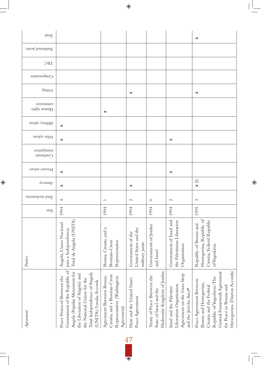| Agreement                                                                                                                                                                                                            | Parties                                                                                          | rosy | Total mechanisms         | $\lambda$ <i>səu<math>u</math>v</i> | Prisoner release | น011ขา8อ1นาอม<br>Combatant | $u\mu$ olice reform | $u\iota\iota$ орда Лір $\eta\eta\eta$ | uoissimmos<br>$\mathfrak{sup}\mathfrak{g}\mu$ upun $H$ | $\delta u$ 1112 $\Lambda$ | Compensation | TRC | Traditional justice | $spin \underline{L}$ |
|----------------------------------------------------------------------------------------------------------------------------------------------------------------------------------------------------------------------|--------------------------------------------------------------------------------------------------|------|--------------------------|-------------------------------------|------------------|----------------------------|---------------------|---------------------------------------|--------------------------------------------------------|---------------------------|--------------|-----|---------------------|----------------------|
| Government of the Republic of<br>Angola (Popular Movement for<br>Total Independence of Angola<br>the Liberation of Angola) and<br>Peace Protocol Between the<br>the National Union for the<br>(UNITA)/Lusaka Accords | Total de Angola (UNITA)<br>Angola, Uniao Nacional<br>para a Independencia                        | 1994 | 4                        | $\times$                            | $\times$         |                            | $\times$            | $\times$                              |                                                        |                           |              |     |                     |                      |
| Croatia, and a Bosnian-Croat<br>Agreement Between Bosnia,<br>Representative (Washington<br>Agreement)                                                                                                                | Bosnia, Croatia, and a<br>Representative<br>Bosnian-Croat                                        | 1994 | $\overline{\phantom{0}}$ |                                     |                  |                            |                     |                                       | ×                                                      |                           |              |     |                     |                      |
| Haiti and the United States<br>Peace Agreement                                                                                                                                                                       | United States and the<br>Government of the<br>military junta                                     | 1994 | $\mathcal{L}$            | $\times$                            |                  |                            |                     |                                       |                                                        | $\times$                  |              |     |                     |                      |
| Hashemite Kingdom of Jordan<br>Treaty of Peace Between the<br>State of Israel and the                                                                                                                                | Governments of Jordan<br>and Israel                                                              | 1994 | $\circ$                  |                                     |                  |                            |                     |                                       |                                                        |                           |              |     |                     |                      |
| Agreement on the Gaza Strip<br>Liberation Organisation<br>Israel and the Palestine<br>and the Jericho Area*                                                                                                          | Government of Israel and<br>the Palestinian Liberation<br>Organisation                           | 1994 | $\mathcal{C}$            |                                     | $\times$         |                            | $\times$            |                                       |                                                        |                           |              |     |                     |                      |
| General Framework Agreement<br>Herzegovina (Dayton Accords)<br>Republic of Yugoslavia/The<br>Peace Agreement Between<br>Bosnia and Herzegovina,<br>Croatia and the Federal<br>for Peace in Bosnia and                | Herzegovina, Republic of<br>Croatia, Federal Republic<br>Republic of Bosnia and<br>of Yugoslavia | 1995 | $\mathcal{L}$            | $\ominus$<br>$\times$               |                  |                            |                     |                                       |                                                        | $\times$                  |              |     |                     | $\times$             |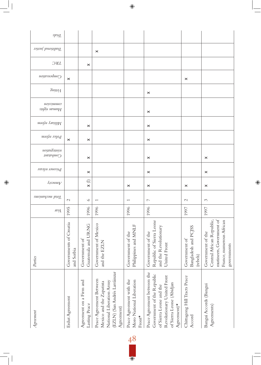| spinL                                       |                                      |                                          |                                                                                                                                |                                                                |                                                                                                                                                                  |                                                   |                                                                                                                       |
|---------------------------------------------|--------------------------------------|------------------------------------------|--------------------------------------------------------------------------------------------------------------------------------|----------------------------------------------------------------|------------------------------------------------------------------------------------------------------------------------------------------------------------------|---------------------------------------------------|-----------------------------------------------------------------------------------------------------------------------|
| Traditional justice                         |                                      |                                          | $\times$                                                                                                                       |                                                                |                                                                                                                                                                  |                                                   |                                                                                                                       |
| $\Delta \mathrm{W}$                         |                                      | $\times$                                 |                                                                                                                                |                                                                |                                                                                                                                                                  |                                                   |                                                                                                                       |
| Compensation                                | $\times$                             |                                          |                                                                                                                                |                                                                |                                                                                                                                                                  | $\times$                                          |                                                                                                                       |
| $\delta u$ 1112 $\Lambda$                   |                                      |                                          |                                                                                                                                |                                                                | $\pmb{\times}$                                                                                                                                                   |                                                   |                                                                                                                       |
| uoissiuuuos<br>$\mathfrak{su}$ 811 upum $H$ |                                      |                                          |                                                                                                                                |                                                                | $\pmb{\times}$                                                                                                                                                   |                                                   |                                                                                                                       |
| шло $\beta$ л Лю1111 $W$                    |                                      | $\times$                                 |                                                                                                                                |                                                                | $\pmb{\times}$                                                                                                                                                   |                                                   |                                                                                                                       |
| ило $\beta$ л әэңо $d$                      | $\times$                             | $\times$                                 |                                                                                                                                |                                                                | $\pmb{\times}$                                                                                                                                                   |                                                   |                                                                                                                       |
| นงบุญเชื่องนาม<br>Combatant                 |                                      | $\times$                                 |                                                                                                                                |                                                                | $\times$                                                                                                                                                         |                                                   | ×                                                                                                                     |
| Prisoner release                            |                                      | $\times$                                 |                                                                                                                                |                                                                | $\pmb{\times}$                                                                                                                                                   |                                                   | $\times$                                                                                                              |
| $\lambda$ <i>səu<math>u</math>v</i>         |                                      | $\ominus$<br>$\times$                    |                                                                                                                                | $\times$                                                       | $\pmb{\times}$                                                                                                                                                   | $\times$                                          | $\times$                                                                                                              |
| Total mechanisms                            | $\mathcal{L}$                        | $\circ$                                  | $\overline{\phantom{0}}$                                                                                                       | $\overline{\phantom{0}}$                                       | $\overline{\phantom{0}}$                                                                                                                                         | $\mathcal{L}$                                     | $\mathcal{C}$                                                                                                         |
| $\mu\nu\partial\chi$                        | 1995                                 | 1996                                     | 1996                                                                                                                           | 1996                                                           | 1996                                                                                                                                                             | 1997                                              | 1997                                                                                                                  |
| Parties                                     | Governments of Croatia<br>and Serbia | Guatemala and URNG<br>Government of      | Government of Mexico<br>and the EZLN                                                                                           | Philippines and MNLF<br>Government of the                      | Republic of Sierra Leone<br>and the Revolutionary<br>Government of the<br>United Front                                                                           | Bangladesh and PCJSS<br>Government of<br>(rebels) | Central African Republic,<br>mutineers, Government of<br>France, numerous African<br>Government of the<br>governments |
| Agreement                                   | Erdut Agreement                      | Agreement on a Firm and<br>Lasting Peace | (EZLN) (San Andrés Larráinzar<br>Peace Agreement Between<br>National Liberation Army<br>Mexico and the Zapatista<br>Agreement) | Peace Agreement with the<br>Moro National Liberation<br>Front* | Peace Agreement between the<br>Government of the Republic<br>Revolutionary United Front<br>of Sierra Leone (Abidjan<br>of Sierra Leone and the<br>$Agreement)$ * | Chittagong Hill Tracts Peace<br>Accord            | Bangui Accords (Bangui<br>Agreements)                                                                                 |

)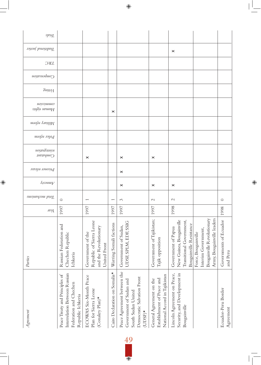| Agreement                                                                                                             | Parties                                                                                                | rear                            | Total mechanisms         | $\lambda$ <i>səu<math>u</math>v</i> | Prisoner release | น011ขา8อานาอเ<br>Combatari | ило $\beta$ л әэңо $d$ | $u\iota\iota$ офа Лю $i\eta\eta\eta$ | uoissiuuuos<br>$\mathfrak{su}$ 8 $\mu$ uvun $H$ | $\delta u$ 1112 $\Lambda$ | Compensation | TRC | Traditional justice | $s$ p $u$ L |
|-----------------------------------------------------------------------------------------------------------------------|--------------------------------------------------------------------------------------------------------|---------------------------------|--------------------------|-------------------------------------|------------------|----------------------------|------------------------|--------------------------------------|-------------------------------------------------|---------------------------|--------------|-----|---------------------|-------------|
| Interrelation Between Russian<br>Peace Treaty and Principles of<br>Federation and Chechen<br>Republic Ichkeria        | Russian Federation and<br>Chechen Republic<br>Ichkeria                                                 | 997<br>$\overline{\phantom{0}}$ | $\circ$                  |                                     |                  |                            |                        |                                      |                                                 |                           |              |     |                     |             |
| ECOWAS Six-Month Peace<br>Plan for Sierra Leone<br>$($ Conakry Plan $)\star$                                          | Republic of Sierra Leone<br>and the Revolutionary<br>Government of the<br>United Front                 | 766<br>$\overline{\phantom{0}}$ | $\overline{\phantom{0}}$ |                                     |                  | $\times$                   |                        |                                      |                                                 |                           |              |     |                     |             |
| Cairo Declaration on Somalia*                                                                                         | Warring Somali factions                                                                                | 997<br>$\overline{\phantom{0}}$ |                          |                                     |                  |                            |                        |                                      | $\times$                                        |                           |              |     |                     |             |
| Peace Agreement between the<br>Democratic Salvation Front<br>Government of Sudan and<br>South Sudan United<br>(UDSF)* | UDSE, SPLM, EDE, SSIG<br>Government of Sudan,                                                          | 997<br>$\overline{\phantom{0}}$ | $\mathcal{L}$            | $\times$                            | $\times$         | $\times$                   |                        |                                      |                                                 |                           |              |     |                     |             |
| National Accord in Tajikistan<br>Establishment of Peace and<br>General Agreement on the                               | Government of Tajikistan;<br>Tajik opposition                                                          | 997<br>$\overline{\phantom{0}}$ | $\mathcal{L}$            | $\times$                            |                  | $\times$                   |                        |                                      |                                                 |                           |              |     |                     |             |
| Lincoln Agreement on Peace,<br>Security, and Development in<br>Bougainville                                           | New Guinea, Bougainville<br>Transitional Government,<br>Bougainville Resistance<br>Government of Papua | 998<br>$\overline{\phantom{0}}$ | $\mathcal{L}$            | $\times$                            |                  |                            |                        |                                      |                                                 |                           |              |     | $\times$            |             |
|                                                                                                                       | Army, Bougainville leaders<br>Bougainville Revolutionary<br>Interim Government,<br>Force, Bougainville |                                 |                          |                                     |                  |                            |                        |                                      |                                                 |                           |              |     |                     |             |
| Ecuador-Peru Border<br>Agreement                                                                                      | Governments of Ecuador<br>and Peru                                                                     | 1998                            | $\circ$                  |                                     |                  |                            |                        |                                      |                                                 |                           |              |     |                     |             |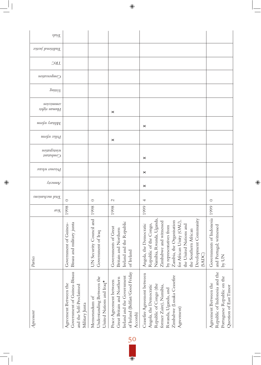| $s$ p $u$ L                                     |                                                                                                   |                                                                        |                                                                                                                                    |                                                                                                                                                                                                                                                                                |                                                                                                                |
|-------------------------------------------------|---------------------------------------------------------------------------------------------------|------------------------------------------------------------------------|------------------------------------------------------------------------------------------------------------------------------------|--------------------------------------------------------------------------------------------------------------------------------------------------------------------------------------------------------------------------------------------------------------------------------|----------------------------------------------------------------------------------------------------------------|
| Traditional justice                             |                                                                                                   |                                                                        |                                                                                                                                    |                                                                                                                                                                                                                                                                                |                                                                                                                |
| TRC                                             |                                                                                                   |                                                                        |                                                                                                                                    |                                                                                                                                                                                                                                                                                |                                                                                                                |
| Compensation                                    |                                                                                                   |                                                                        |                                                                                                                                    |                                                                                                                                                                                                                                                                                |                                                                                                                |
| $\delta u$ 1112 $\Lambda$                       |                                                                                                   |                                                                        |                                                                                                                                    |                                                                                                                                                                                                                                                                                |                                                                                                                |
| uoissiuuuos<br>$\mathfrak{su}$ 8 $\mu$ upum $H$ |                                                                                                   |                                                                        | $\times$                                                                                                                           |                                                                                                                                                                                                                                                                                |                                                                                                                |
| utilitary reform                                |                                                                                                   |                                                                        |                                                                                                                                    | $\times$                                                                                                                                                                                                                                                                       |                                                                                                                |
| ило $\beta$ л әэңо $d$                          |                                                                                                   |                                                                        | $\pmb{\times}$                                                                                                                     |                                                                                                                                                                                                                                                                                |                                                                                                                |
| иоприборија<br>Combatant                        |                                                                                                   |                                                                        |                                                                                                                                    | $\times$                                                                                                                                                                                                                                                                       |                                                                                                                |
| Prisoner release                                |                                                                                                   |                                                                        |                                                                                                                                    | $\times$                                                                                                                                                                                                                                                                       |                                                                                                                |
| $A$ səu $w$                                     |                                                                                                   |                                                                        |                                                                                                                                    | $\times$                                                                                                                                                                                                                                                                       |                                                                                                                |
| Total mechanisms                                | $\circ$                                                                                           | $\circ$                                                                | $\mathcal{L}$                                                                                                                      | 4                                                                                                                                                                                                                                                                              | $\circ$                                                                                                        |
| $\mu\nu\partial\chi$                            | 998<br>$\overline{\phantom{0}}$                                                                   | 998<br>$\overline{\phantom{0}}$                                        | 998<br>$\overline{\phantom{0}}$                                                                                                    | 999<br>$\overline{\phantom{0}}$                                                                                                                                                                                                                                                | 1999                                                                                                           |
| Parties                                         | Bissau and military junta<br>Government of Guinea-                                                | UN Security Council and<br>Government of Iraq                          | Ireland and the Republic<br>Governments of Great<br><b>Britain and Northern</b><br>of Ireland                                      | Namibia, Rwanda, Uganda,<br>Development Community<br>for African Unity (OAU),<br>Zambia, the Organisation<br>Zimbabwe and witnessed<br>Angola, the Democratic<br>Republic of the Congo,<br>the United Nations and<br>by representatives from<br>the Southern African<br>(SADC) | Governments of Indonesia<br>and Portugal; witnessed<br>NU yq                                                   |
| Agreement                                       | Government of Guinea-Bissau<br>Agreement Between the<br>and the Self-Proclaimed<br>Military Junta | Understanding Between the<br>United Nations and Iraq*<br>Memorandum of | of Ireland (Belfast/Good Friday<br>Ireland and the Government<br>Great Britain and Northern<br>Peace Agreement between<br>Accords) | Ceasefire Agreement between<br>Zimbabwe (Lusaka Ceasefire<br>Republic of Congo (the<br>former Zaire), Namibia,<br>Angola, the Democratic<br>Rwanda, Uganda, and<br>Agreement)                                                                                                  | Republic of Indonesia and the<br>Portuguese Republic on the<br>Agreement Between the<br>Question of East Timor |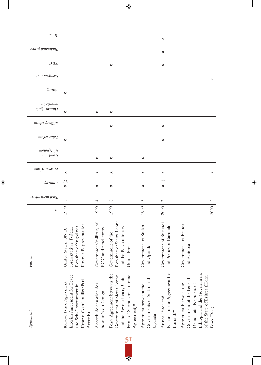| Agreement                                                                                                                                                   | Parties                                                                                              | $\iota\nu\partial\chi$ | Total mechanisms         | $A$ <i>s</i> $\partial$ <i>u</i> $V$ | Prisoner release | น011ขา8อ1น1อง<br>Combatant | Bolice reform  | ulitiary reform | uoissimmoo<br>$\mathfrak{su}$ 8 $\mu$ uvun $H$ | $8u$ 1112 $A$ | Compensation | TRC      | Traditional justice | $s$ puL  |
|-------------------------------------------------------------------------------------------------------------------------------------------------------------|------------------------------------------------------------------------------------------------------|------------------------|--------------------------|--------------------------------------|------------------|----------------------------|----------------|-----------------|------------------------------------------------|---------------|--------------|----------|---------------------|----------|
| Interim Agreement for Peace<br>Kosovo (Rambouillet/Paris<br>Kosovo Peace Agreement/<br>and Self-Government in<br>Accords)                                   | Kosovar Representatives<br>Republic of Yugoslavia,<br>epresentatives, Federal<br>United States, UN R | 1999                   | 5                        | $\ominus$<br>$\times$                | ×                |                            | $\times$       |                 | ×                                              | $\times$      |              |          |                     |          |
| Accords de cessation des<br>hostilitiés du Congo                                                                                                            | Government/military of<br>ROC and rebel forces                                                       | 1999                   | 4                        | $\times$                             | $\times$         | $\times$                   |                |                 | $\times$                                       |               |              |          |                     |          |
| and the Revolutionary United<br>Peace Agreement between the<br>Government of Sierra Leone<br>Front of Sierra Leone (Lomé<br>$Agreement)$ *                  | Republic of Sierra Leone<br>and the Revolutionary<br>Government of the<br>United Front               | 1999                   | $\circ$                  | $\times$                             | $\times$         | $\times$                   |                | $\times$        | $\times$                                       |               |              | $\times$ |                     |          |
| Governments of Sudan and<br>Agreement between the<br>Uganda                                                                                                 | Governments of Sudan<br>and Uganda                                                                   | 1999                   | 3                        | ×                                    | $\times$         | $\times$                   |                |                 |                                                |               |              |          |                     |          |
| Reconciliation Agreement for<br>Arusha Peace and<br>Burundi*                                                                                                | Government of Burundi<br>and Parties of Burundi                                                      | 2000                   | $\overline{\phantom{0}}$ | $\ominus$<br>$\times$                | $\times$         |                            | $\pmb{\times}$ | $\pmb{\times}$  |                                                |               |              | $\times$ | ×                   | $\times$ |
| Ethiopia and the Government<br>of the State of Eritrea (Horn<br>Government of the Federal<br>Democratic Republic of<br>Agreement Between the<br>Peace Deal) | Governments of Eritrea<br>and Ethiopia                                                               | 2000                   | $\mathcal{C}$            |                                      | $\times$         |                            |                |                 |                                                |               | $\times$     |          |                     |          |
|                                                                                                                                                             |                                                                                                      |                        |                          |                                      |                  |                            |                |                 |                                                |               |              |          |                     |          |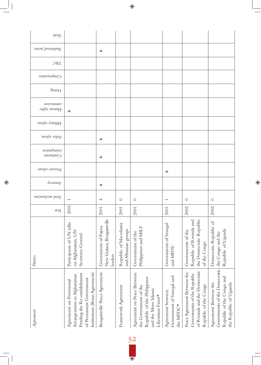| spinL                                       |                                                                                                                                                     |                                                            |                                              |                                                                                                                                 |                                                             |                                                                                                                     |                                                                                                                                 |
|---------------------------------------------|-----------------------------------------------------------------------------------------------------------------------------------------------------|------------------------------------------------------------|----------------------------------------------|---------------------------------------------------------------------------------------------------------------------------------|-------------------------------------------------------------|---------------------------------------------------------------------------------------------------------------------|---------------------------------------------------------------------------------------------------------------------------------|
| Traditional justice                         |                                                                                                                                                     | $\times$                                                   |                                              |                                                                                                                                 |                                                             |                                                                                                                     |                                                                                                                                 |
| TRC                                         |                                                                                                                                                     |                                                            |                                              |                                                                                                                                 |                                                             |                                                                                                                     |                                                                                                                                 |
| Compensation                                |                                                                                                                                                     |                                                            |                                              |                                                                                                                                 |                                                             |                                                                                                                     |                                                                                                                                 |
| $\delta u$ 1112 $\Lambda$                   |                                                                                                                                                     |                                                            |                                              |                                                                                                                                 |                                                             |                                                                                                                     |                                                                                                                                 |
| uoissimmos<br>$\mathfrak{supp}$ ia upum $H$ | ×                                                                                                                                                   |                                                            |                                              |                                                                                                                                 |                                                             |                                                                                                                     |                                                                                                                                 |
| $u\mu$ ulitary reform                       |                                                                                                                                                     |                                                            |                                              |                                                                                                                                 |                                                             |                                                                                                                     |                                                                                                                                 |
| ило $\beta$ л әэңо $d$                      |                                                                                                                                                     | $\times$                                                   |                                              |                                                                                                                                 |                                                             |                                                                                                                     |                                                                                                                                 |
| น0บุpเชื่อมนุอเ<br>Combatari                |                                                                                                                                                     | $\times$                                                   |                                              |                                                                                                                                 |                                                             |                                                                                                                     |                                                                                                                                 |
| Prisoner release                            |                                                                                                                                                     |                                                            |                                              |                                                                                                                                 | $\times$                                                    |                                                                                                                     |                                                                                                                                 |
| $\lambda$ 1səu $u$ V                        |                                                                                                                                                     | $\times$                                                   |                                              |                                                                                                                                 |                                                             |                                                                                                                     |                                                                                                                                 |
| Total mechanisms                            | $\overline{\phantom{0}}$                                                                                                                            | $\overline{4}$                                             | $\circ$                                      | $\circ$                                                                                                                         | $\overline{\phantom{0}}$                                    | $\circ$                                                                                                             | $\circ$                                                                                                                         |
| <i><b>AD</b></i>                            | 2001                                                                                                                                                | 2001                                                       | <b>DO1</b><br>$\breve{\alpha}$               | 2001                                                                                                                            | 2001                                                        | 2002                                                                                                                | 2002                                                                                                                            |
| Parties                                     | Participants of UN talks<br>on Afghanistan, UN<br>Secretary-General                                                                                 | New Guinea, Bougainville<br>Government of Papua<br>leaders | Republic of Macedonia<br>and Albanian groups | Philippines and MILF<br>Government of the                                                                                       | Government of Senegal<br>and MFDC                           | the Democratic Republic<br>Republic of Rwanda and<br>Governments of the<br>of the Congo                             | Democratic Republic of<br>Republic of Uganda                                                                                    |
| Agreement                                   | Pending the Re-establishment<br>Institutions (Bonn Agreement)<br>Arrangements in Afghanistan<br>of Permanent Government<br>Agreement on Provisional | Bougainville Peace Agreement                               | Framework Agreement                          | Agreement on Peace Between<br>Republic of the Philippines<br>the Government of the<br>and the Moro Islamic<br>Liberation Front* | Government of Senegal and<br>Agreement between<br>the MFDC* | of Rwanda and the Democratic<br>Peace Agreement Between the<br>Governments of the Republic<br>Republic of the Congo | Governments of the Democratic the Congo and the<br>Republic of the Congo and<br>Agreement Between the<br>the Republic of Uganda |

### 52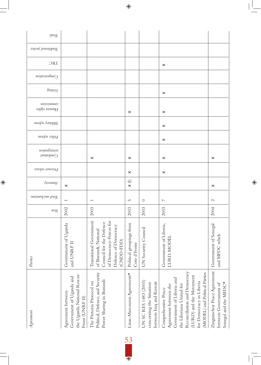| Agreement                                                                                                                                                                                                                     | Parties                                                                                                                                     | $\iota\nu\partial\chi$ | Total mechanisms         | $\lambda$ <i>səu<math>u</math>v</i> | Prisoner release | иопрядэннэл<br>Combatant | ило $\beta$ л әэңо $d$ | $u\iota\iota$ ofə $\iota$ Arviyy $\chi$ | uoissiuuuos<br>$\mathfrak{su}$ δμ uvun $H$ | $\delta u$ 1112 $\Lambda$ | $u$ onpensano $\mathcal{D}$ | TRC      | Traditional justice | $s$ puL |
|-------------------------------------------------------------------------------------------------------------------------------------------------------------------------------------------------------------------------------|---------------------------------------------------------------------------------------------------------------------------------------------|------------------------|--------------------------|-------------------------------------|------------------|--------------------------|------------------------|-----------------------------------------|--------------------------------------------|---------------------------|-----------------------------|----------|---------------------|---------|
| the Uganda National Rescue<br>Government of Uganda and<br>Agreement between<br>Front (UNRF II)                                                                                                                                | Government of Uganda<br>and UNRF II                                                                                                         | 2002                   | $\overline{\phantom{0}}$ | $\times$                            |                  |                          |                        |                                         |                                            |                           |                             |          |                     |         |
| Political, Defence, and Security<br>Power Sharing in Burundi<br>The Pretoria Protocol on                                                                                                                                      | Transitional Government<br>of Democracy-Forces for<br>Council for the Defence<br>Defence of Democracy<br>of Burundi, National<br>(CNDD-FDD) | 2003                   | $\overline{\phantom{0}}$ |                                     |                  | $\times$                 |                        |                                         |                                            |                           |                             |          |                     |         |
| Linas-Marcoussis Agreement*                                                                                                                                                                                                   | Political groupings from<br>Cote d'Ivoire                                                                                                   | 2003                   | S                        | $\ominus$<br>$\times$               | $\times$         | $\times$                 |                        |                                         | $\times$                                   |                           |                             |          |                     |         |
| UN SC RES 1483 (2003)<br>between Iraq and Kuwait<br>concerning the Situation                                                                                                                                                  | UN Security Council                                                                                                                         | 2003                   | $\circ$                  |                                     |                  |                          |                        |                                         |                                            |                           |                             |          |                     |         |
| Reconciliation and Democracy<br>(MODEL) and Political Parties<br>(LURD) and the Movement<br>Government of Liberia and<br>for Democracy in Liberia<br>the Liberians United for<br>Agreement between the<br>Comprehensive Peace | Government of Liberia,<br>LURD, MODEL                                                                                                       | 2003                   | $\overline{\phantom{0}}$ |                                     | $\times$         | $\times$                 | $\times$               | $\times$                                | $\times$                                   | $\times$                  |                             | $\times$ |                     |         |
| Zinguinchor Peace Agreement<br>Senegal and the MFDC*<br>between Government of                                                                                                                                                 | Government of Senegal<br>and MFDC rebels                                                                                                    | 2004                   | $\mathcal{C}$            | $\times$                            |                  | $\pmb{\times}$           |                        |                                         |                                            |                           |                             |          |                     |         |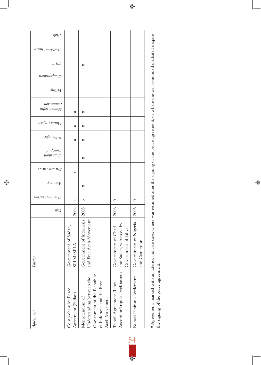| Agreement                                                                                                              | Parties                                                               | лрәд     | Total mechanisms | $\lambda$ <i>sauw<math>V</math></i> | Prisoner release | น011ขา8อานาอเ<br>Combatant | плорл әэрод | $u\iota\iota$ ofə $\iota$ dəriyy $W$ | uoissiuuuoo<br>$\mathfrak{su}$ 811 uvun $H$ | $\delta u$ <sub>1112</sub> | Compensation | TRC | Traditional justice | $s$ p $u$ L |
|------------------------------------------------------------------------------------------------------------------------|-----------------------------------------------------------------------|----------|------------------|-------------------------------------|------------------|----------------------------|-------------|--------------------------------------|---------------------------------------------|----------------------------|--------------|-----|---------------------|-------------|
| Comprehensive Peace<br>Agreement (Sudan)                                                                               | Government of Sudan,<br>SPLM/SPLA                                     | 4<br>200 | 4                |                                     | $\times$         |                            | $\times$    | ×                                    | $\times$                                    |                            |              |     |                     |             |
| Government of the Republic<br>Understanding between the<br>of Indonesia and the Free<br>Memorandum of<br>Aceh Movement | Government of Indonesia 200<br>and Free Aceh Movement                 | S        | $\circ$          | ×                                   |                  | ×                          | ×           | ×                                    | ×                                           |                            |              | ×   |                     |             |
| Accord or Tripoli Declaration)<br>Tripoli Agreement (Libya                                                             | and Sudan, witnessed by<br>Governments of Chad<br>Government of Libya | 2006     | ⊂                |                                     |                  |                            |             |                                      |                                             |                            |              |     |                     |             |
| Bakassi Peninsula settlement                                                                                           | Governments of Nigeria<br>and Cameroon                                | 2006     | ○                |                                     |                  |                            |             |                                      |                                             |                            |              |     |                     |             |

\* Agreements marked with an asterisk indicate cases where war resumed after the signing of the peace agreement, or where the war continued unabated despite  $*$  Agreements marked with an asterisk indicate cases where war resumed after the signing of the peace agreement, or where the war continued unabated despite the signing of the peace agreement. the signing of the peace agreement.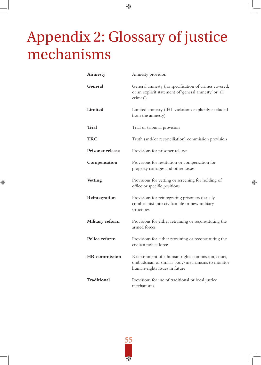# Appendix 2: Glossary of justice mechanisms

| <b>Amnesty</b>   | Amnesty provision                                                                                                                      |
|------------------|----------------------------------------------------------------------------------------------------------------------------------------|
| General          | General amnesty (no specification of crimes covered,<br>or an explicit statement of 'general amnesty' or 'all<br>crimes')              |
| Limited          | Limited amnesty (IHL violations explicitly excluded<br>from the amnesty)                                                               |
| Trial            | Trial or tribunal provision                                                                                                            |
| <b>TRC</b>       | Truth (and/or reconciliation) commission provision                                                                                     |
| Prisoner release | Provisions for prisoner release                                                                                                        |
| Compensation     | Provisions for restitution or compensation for<br>property damages and other losses                                                    |
| <b>Vetting</b>   | Provisions for vetting or screening for holding of<br>office or specific positions                                                     |
| Reintegration    | Provisions for reintegrating prisoners (usually<br>combatants) into civilian life or new military<br>structures                        |
| Military reform  | Provisions for either retraining or reconstituting the<br>armed forces                                                                 |
| Police reform    | Provisions for either retraining or reconstituting the<br>civilian police force                                                        |
| HR commission    | Establishment of a human rights commission, court,<br>ombudsman or similar body/mechanisms to monitor<br>human-rights issues in future |
| Traditional      | Provisions for use of traditional or local justice<br>mechanisms                                                                       |